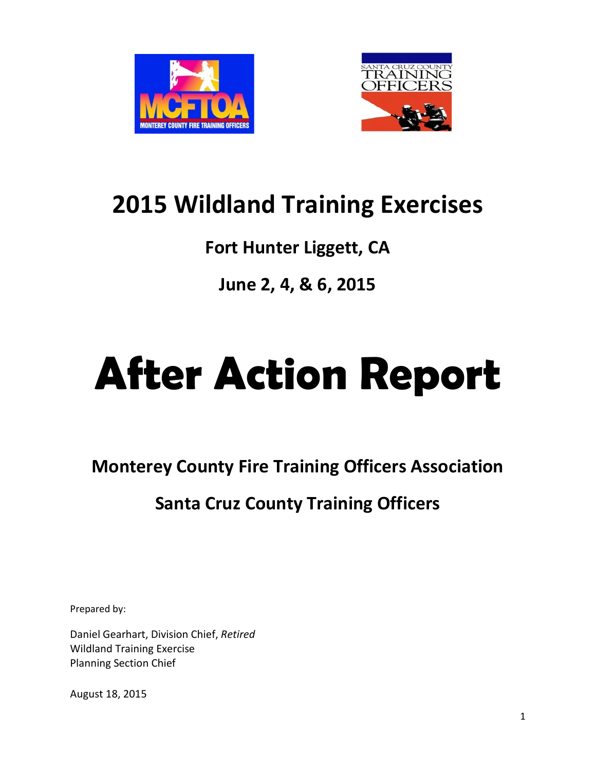



# **2015 Wildland Training Exercises**

# **Fort Hunter Liggett, CA**

# **June 2, 4, & 6, 2015**

# **After Action Report**

**Monterey County Fire Training Officers Association**

# **Santa Cruz County Training Officers**

Prepared by:

Daniel Gearhart, Division Chief, *Retired* Wildland Training Exercise Planning Section Chief

August 18, 2015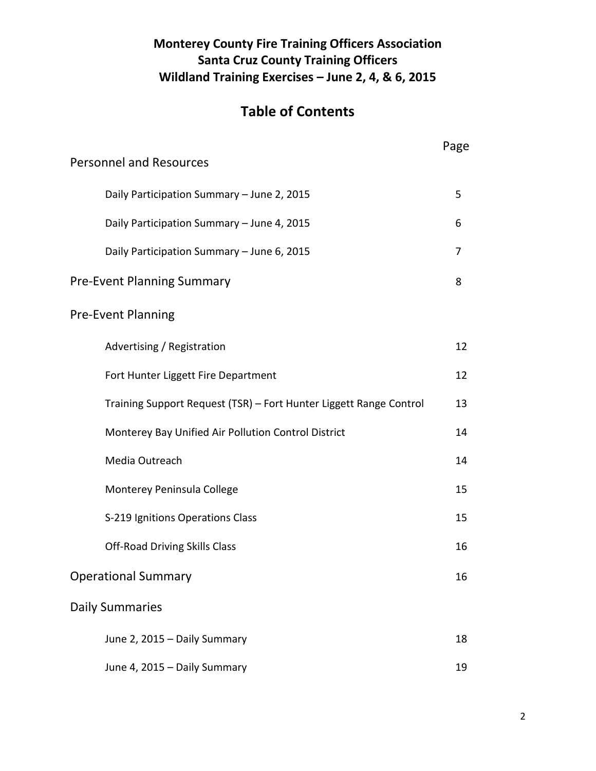## **Monterey County Fire Training Officers Association Santa Cruz County Training Officers Wildland Training Exercises – June 2, 4, & 6, 2015**

# **Table of Contents**

|                                                                    | Page |  |  |
|--------------------------------------------------------------------|------|--|--|
| <b>Personnel and Resources</b>                                     |      |  |  |
| Daily Participation Summary - June 2, 2015                         | 5    |  |  |
| Daily Participation Summary - June 4, 2015                         | 6    |  |  |
| Daily Participation Summary - June 6, 2015                         | 7    |  |  |
| <b>Pre-Event Planning Summary</b>                                  | 8    |  |  |
| <b>Pre-Event Planning</b>                                          |      |  |  |
| Advertising / Registration                                         | 12   |  |  |
| Fort Hunter Liggett Fire Department                                | 12   |  |  |
| Training Support Request (TSR) - Fort Hunter Liggett Range Control | 13   |  |  |
| Monterey Bay Unified Air Pollution Control District                | 14   |  |  |
| Media Outreach                                                     | 14   |  |  |
| Monterey Peninsula College                                         | 15   |  |  |
| S-219 Ignitions Operations Class                                   | 15   |  |  |
| <b>Off-Road Driving Skills Class</b>                               | 16   |  |  |
| <b>Operational Summary</b>                                         | 16   |  |  |
| <b>Daily Summaries</b>                                             |      |  |  |
| June 2, 2015 - Daily Summary                                       | 18   |  |  |
| June 4, 2015 - Daily Summary                                       | 19   |  |  |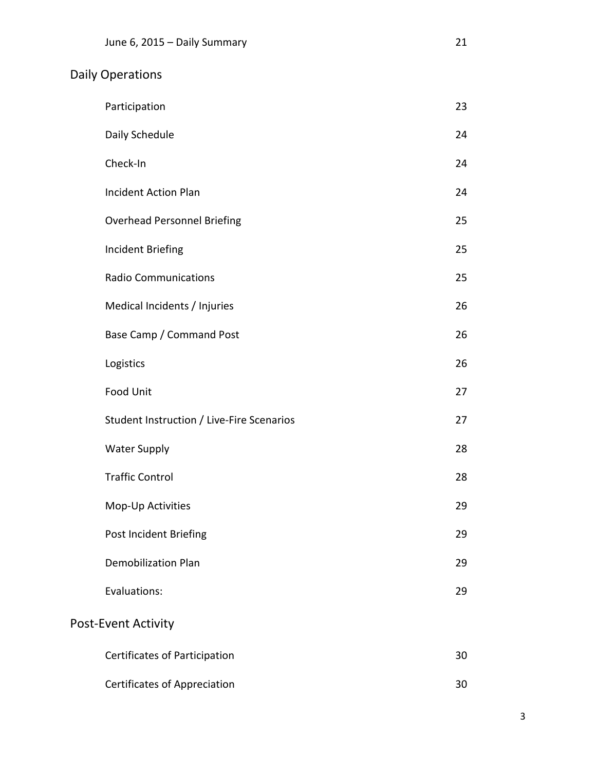# Daily Operations

| Participation                             | 23 |
|-------------------------------------------|----|
| Daily Schedule                            | 24 |
| Check-In                                  | 24 |
| <b>Incident Action Plan</b>               | 24 |
| <b>Overhead Personnel Briefing</b>        | 25 |
| <b>Incident Briefing</b>                  | 25 |
| <b>Radio Communications</b>               | 25 |
| Medical Incidents / Injuries              | 26 |
| Base Camp / Command Post                  | 26 |
| Logistics                                 | 26 |
| <b>Food Unit</b>                          | 27 |
| Student Instruction / Live-Fire Scenarios | 27 |
| <b>Water Supply</b>                       | 28 |
| <b>Traffic Control</b>                    | 28 |
| Mop-Up Activities                         | 29 |
| Post Incident Briefing                    | 29 |
| <b>Demobilization Plan</b>                | 29 |
| Evaluations:                              | 29 |
| <b>Post-Event Activity</b>                |    |
| Certificates of Participation             | 30 |
| <b>Certificates of Appreciation</b>       | 30 |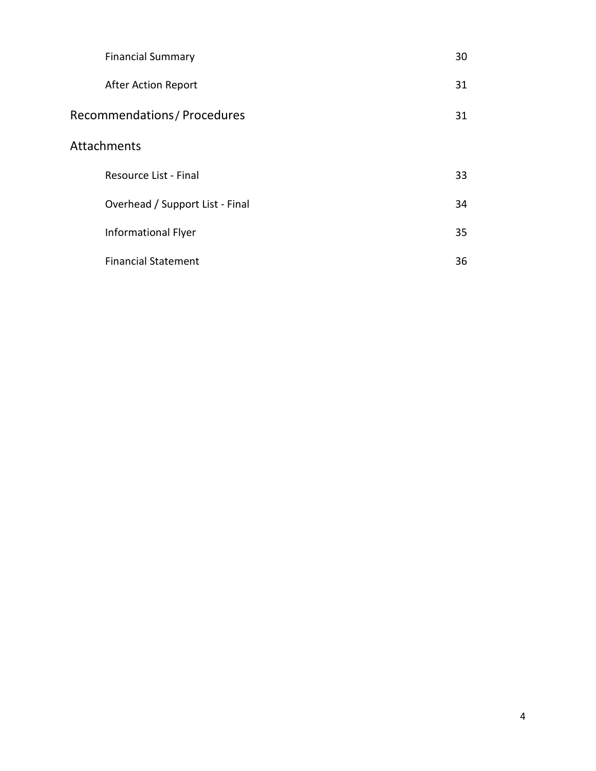| <b>Financial Summary</b>        | 30 |
|---------------------------------|----|
| <b>After Action Report</b>      | 31 |
| Recommendations / Procedures    | 31 |
| Attachments                     |    |
| Resource List - Final           | 33 |
| Overhead / Support List - Final | 34 |
| <b>Informational Flyer</b>      | 35 |
| <b>Financial Statement</b>      | 36 |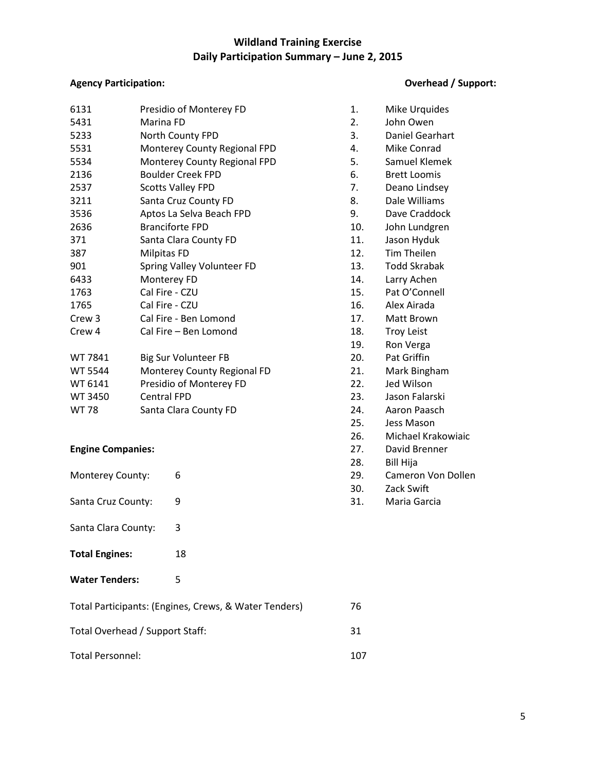#### **Wildland Training Exercise Daily Participation Summary – June 2, 2015**

#### **Agency Participation: Overhead / Support:**

| 6131              | Presidio of Monterey FD      | 1.  | Mike Urquides       |
|-------------------|------------------------------|-----|---------------------|
| 5431              | Marina FD                    | 2.  | John Owen           |
| 5233              | North County FPD             | 3.  | Daniel Gearhart     |
| 5531              | Monterey County Regional FPD | 4.  | <b>Mike Conrad</b>  |
| 5534              | Monterey County Regional FPD | 5.  | Samuel Klemek       |
| 2136              | <b>Boulder Creek FPD</b>     | 6.  | <b>Brett Loomis</b> |
| 2537              | <b>Scotts Valley FPD</b>     | 7.  | Deano Lindsey       |
| 3211              | Santa Cruz County FD         | 8.  | Dale Williams       |
| 3536              | Aptos La Selva Beach FPD     | 9.  | Dave Craddock       |
| 2636              | <b>Branciforte FPD</b>       | 10. | John Lundgren       |
| 371               | Santa Clara County FD        | 11. | Jason Hyduk         |
| 387               | Milpitas FD                  | 12. | <b>Tim Theilen</b>  |
| 901               | Spring Valley Volunteer FD   | 13. | <b>Todd Skrabak</b> |
| 6433              | Monterey FD                  | 14. | Larry Achen         |
| 1763              | Cal Fire - CZU               | 15. | Pat O'Connell       |
| 1765              | Cal Fire - CZU               | 16. | Alex Airada         |
| Crew <sub>3</sub> | Cal Fire - Ben Lomond        | 17. | Matt Brown          |
| Crew <sub>4</sub> | Cal Fire - Ben Lomond        | 18. | <b>Troy Leist</b>   |
|                   |                              | 19. | Ron Verga           |
| WT 7841           | <b>Big Sur Volunteer FB</b>  | 20. | Pat Griffin         |
| <b>WT 5544</b>    | Monterey County Regional FD  | 21. | Mark Bingham        |
| WT 6141           | Presidio of Monterey FD      | 22. | Jed Wilson          |
| WT 3450           | <b>Central FPD</b>           | 23. | Jason Falarski      |
| <b>WT78</b>       | Santa Clara County FD        | 24. | Aaron Paasch        |
|                   |                              | 25. | Jess Mason          |
|                   |                              |     |                     |

#### **Engine Companies:**

| Monterey County: |  |
|------------------|--|
|------------------|--|

- Santa Cruz County: 9
- Santa Clara County: 3
- Total Engines: 18
- **Water Tenders:** 5

| Total Participants: (Engines, Crews, & Water Tenders) | 76  |
|-------------------------------------------------------|-----|
| Total Overhead / Support Staff:                       | 31  |
| Total Personnel:                                      | 107 |

| 6131                     |           | Presidio of Monterey FD                               | 1.  | Mike Urquides       |
|--------------------------|-----------|-------------------------------------------------------|-----|---------------------|
| 5431                     | Marina FD |                                                       | 2.  | John Owen           |
| 5233                     |           | North County FPD                                      | 3.  | Daniel Gearhart     |
| 5531                     |           | Monterey County Regional FPD                          | 4.  | Mike Conrad         |
| 5534                     |           | Monterey County Regional FPD                          | 5.  | Samuel Klemek       |
| 2136                     |           | <b>Boulder Creek FPD</b>                              | 6.  | <b>Brett Loomis</b> |
| 2537                     |           | <b>Scotts Valley FPD</b>                              | 7.  | Deano Lindsey       |
| 3211                     |           | Santa Cruz County FD                                  | 8.  | Dale Williams       |
| 3536                     |           | Aptos La Selva Beach FPD                              | 9.  | Dave Craddock       |
| 2636                     |           | <b>Branciforte FPD</b>                                | 10. | John Lundgren       |
| 371                      |           | Santa Clara County FD                                 | 11. | Jason Hyduk         |
| 387                      |           | <b>Milpitas FD</b>                                    | 12. | <b>Tim Theilen</b>  |
| 901                      |           | Spring Valley Volunteer FD                            | 13. | <b>Todd Skrabak</b> |
| 6433                     |           | Monterey FD                                           | 14. | Larry Achen         |
| 1763                     |           | Cal Fire - CZU                                        | 15. | Pat O'Connell       |
| 1765                     |           | Cal Fire - CZU                                        | 16. | Alex Airada         |
| Crew 3                   |           | Cal Fire - Ben Lomond                                 | 17. | Matt Brown          |
| Crew 4                   |           | Cal Fire - Ben Lomond                                 | 18. | <b>Troy Leist</b>   |
|                          |           |                                                       | 19. | Ron Verga           |
| WT 7841                  |           | <b>Big Sur Volunteer FB</b>                           | 20. | Pat Griffin         |
| WT 5544                  |           | Monterey County Regional FD                           | 21. | Mark Bingham        |
| WT 6141                  |           | Presidio of Monterey FD                               | 22. | Jed Wilson          |
| WT 3450                  |           | <b>Central FPD</b>                                    | 23. | Jason Falarski      |
| WT 78                    |           | Santa Clara County FD                                 | 24. | Aaron Paasch        |
|                          |           |                                                       | 25. | Jess Mason          |
|                          |           |                                                       | 26. | Michael Krakowiaic  |
| <b>Engine Companies:</b> |           |                                                       | 27. | David Brenner       |
|                          |           |                                                       | 28. | <b>Bill Hija</b>    |
| Monterey County:         |           | 6                                                     | 29. | Cameron Von Dollen  |
|                          |           |                                                       | 30. | Zack Swift          |
| Santa Cruz County:       |           | 9                                                     | 31. | Maria Garcia        |
| Santa Clara County:      |           | 3                                                     |     |                     |
| <b>Total Engines:</b>    |           | 18                                                    |     |                     |
| <b>Water Tenders:</b>    |           | 5                                                     |     |                     |
|                          |           | Total Participants: (Engines, Crews, & Water Tenders) | 76  |                     |
|                          |           |                                                       |     |                     |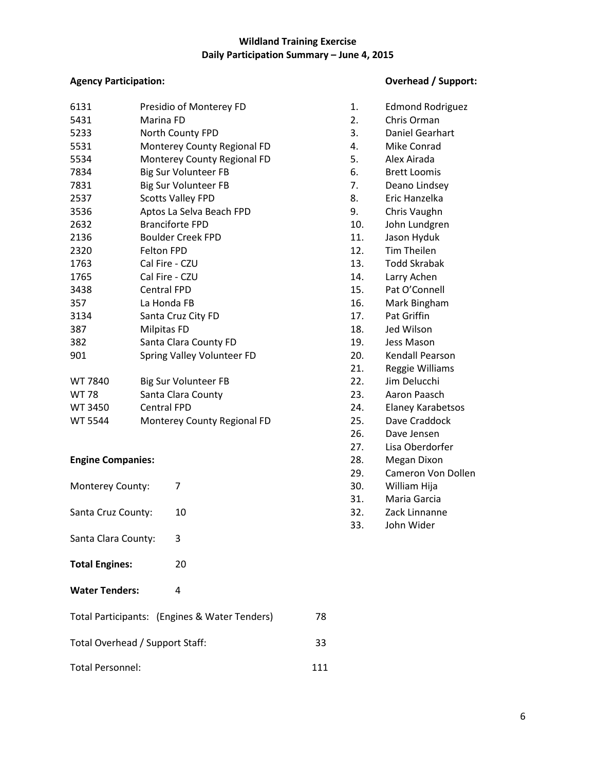#### **Wildland Training Exercise Daily Participation Summary – June 4, 2015**

| 6131         | Presidio of Monterey FD     | 1.  | <b>Edmond Rodriguez</b> |
|--------------|-----------------------------|-----|-------------------------|
| 5431         | Marina FD                   | 2.  | Chris Orman             |
| 5233         | North County FPD            | 3.  | Daniel Gearhart         |
| 5531         | Monterey County Regional FD | 4.  | Mike Conrad             |
| 5534         | Monterey County Regional FD | 5.  | Alex Airada             |
| 7834         | <b>Big Sur Volunteer FB</b> | 6.  | <b>Brett Loomis</b>     |
| 7831         | Big Sur Volunteer FB        | 7.  | Deano Lindsey           |
| 2537         | <b>Scotts Valley FPD</b>    | 8.  | Eric Hanzelka           |
| 3536         | Aptos La Selva Beach FPD    | 9.  | Chris Vaughn            |
| 2632         | <b>Branciforte FPD</b>      | 10. | John Lundgren           |
| 2136         | <b>Boulder Creek FPD</b>    | 11. | Jason Hyduk             |
| 2320         | Felton FPD                  | 12. | Tim Theilen             |
| 1763         | Cal Fire - CZU              | 13. | <b>Todd Skrabak</b>     |
| 1765         | Cal Fire - CZU              | 14. | Larry Achen             |
| 3438         | <b>Central FPD</b>          | 15. | Pat O'Connell           |
| 357          | La Honda FB                 | 16. | Mark Bingham            |
| 3134         | Santa Cruz City FD          | 17. | Pat Griffin             |
| 387          | Milpitas FD                 | 18. | Jed Wilson              |
| 382          | Santa Clara County FD       | 19. | Jess Mason              |
| 901          | Spring Valley Volunteer FD  | 20. | Kendall Pearson         |
|              |                             | 21. | Reggie Williams         |
| WT 7840      | <b>Big Sur Volunteer FB</b> | 22. | Jim Delucchi            |
| <b>MT 72</b> | Santa Clara County          | วว  | Aaron Daacch            |

| 11. UTV | <b>DIE JUI VUIDILLET DE</b> | LL.  | JIIII DURUUIII    |
|---------|-----------------------------|------|-------------------|
| WT 78   | Santa Clara County          | -23. | Aaron Paasch      |
| WT 3450 | Central FPD                 | 24.  | Elaney Karabetsos |
| WT 5544 | Monterey County Regional FD | 25.  | Dave Craddock     |

#### **Engine Companies:**

| Monterey County:                | 7                                             |     | 23.<br>30.<br>31. | Caniciun vun<br>William Hija<br>Maria Garcia |
|---------------------------------|-----------------------------------------------|-----|-------------------|----------------------------------------------|
| Santa Cruz County:              | 10                                            |     | 32.<br>33.        | Zack Linnanne<br>John Wider                  |
| Santa Clara County:             | 3                                             |     |                   |                                              |
| <b>Total Engines:</b>           | 20                                            |     |                   |                                              |
| <b>Water Tenders:</b>           | 4                                             |     |                   |                                              |
|                                 | Total Participants: (Engines & Water Tenders) | 78  |                   |                                              |
| Total Overhead / Support Staff: |                                               | 33  |                   |                                              |
| Total Personnel:                |                                               | 111 |                   |                                              |

#### **Agency Participation: Overhead / Support:**

| 1.               | <b>Edmond Rodriguez</b>  |
|------------------|--------------------------|
| $\overline{2}$ . | Chris Orman              |
| 3.               | Daniel Gearhart          |
| 4.               | Mike Conrad              |
| 5.               | Alex Airada              |
| 6.               | <b>Brett Loomis</b>      |
| 7.               | Deano Lindsey            |
| 8.               | Eric Hanzelka            |
| 9.               | Chris Vaughn             |
| 10.              | John Lundgren            |
| 11.              | Jason Hyduk              |
| 12.              | <b>Tim Theilen</b>       |
| 13.              | <b>Todd Skrabak</b>      |
| 14.              | Larry Achen              |
| 15.              | Pat O'Connell            |
| 16.              | Mark Bingham             |
| 17.              | Pat Griffin              |
| 18.              | Jed Wilson               |
| 19.              | <b>Jess Mason</b>        |
| 20.              | <b>Kendall Pearson</b>   |
| 21.              | Reggie Williams          |
| 22.              | Jim Delucchi             |
| 23.              | Aaron Paasch             |
| 24.              | <b>Elaney Karabetsos</b> |
| 25.              | Dave Craddock            |
| 26.              | Dave Jensen              |
| 27.              | Lisa Oberdorfer          |
| 28.              | <b>Megan Dixon</b>       |
| 29.              | Cameron Von Dollen       |
| 30.              | William Hija             |
| 31.              | Maria Garcia             |
| 32.              | Zack Linnanne            |
| 33.              | John Wider               |
|                  |                          |
|                  |                          |
|                  |                          |
|                  |                          |
|                  |                          |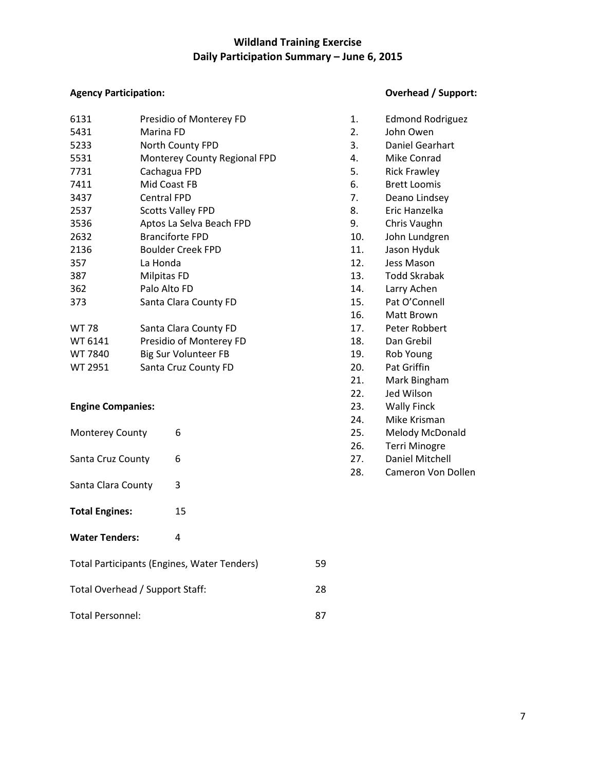### **Wildland Training Exercise Daily Participation Summary – June 6, 2015**

#### **Agency Participation: Overhead / Support:**

| 6131           | Presidio of Monterey FD      | 1.  | <b>Edmond Rodriguez</b> |
|----------------|------------------------------|-----|-------------------------|
| 5431           | Marina FD                    | 2.  | John Owen               |
| 5233           | North County FPD             | 3.  | Daniel Gearhart         |
| 5531           | Monterey County Regional FPD | 4.  | Mike Conrad             |
| 7731           | Cachagua FPD                 | 5.  | <b>Rick Frawley</b>     |
| 7411           | Mid Coast FB                 | 6.  | <b>Brett Loomis</b>     |
| 3437           | <b>Central FPD</b>           | 7.  | Deano Lindsey           |
| 2537           | <b>Scotts Valley FPD</b>     | 8.  | Eric Hanzelka           |
| 3536           | Aptos La Selva Beach FPD     | 9.  | Chris Vaughn            |
| 2632           | <b>Branciforte FPD</b>       | 10. | John Lundgren           |
| 2136           | <b>Boulder Creek FPD</b>     | 11. | Jason Hyduk             |
| 357            | La Honda                     | 12. | Jess Mason              |
| 387            | Milpitas FD                  | 13. | <b>Todd Skrabak</b>     |
| 362            | Palo Alto FD                 | 14. | Larry Achen             |
| 373            | Santa Clara County FD        | 15. | Pat O'Connell           |
|                |                              | 16. | Matt Brown              |
| <b>WT 78</b>   | Santa Clara County FD        | 17. | Peter Robbert           |
| WT 6141        | Presidio of Monterey FD      | 18. | Dan Grebil              |
| WT 7840        | Big Sur Volunteer FB         | 19. | Rob Young               |
| <b>WT 2951</b> | Santa Cruz County FD         | 20. | Pat Griffin             |
|                |                              |     |                         |

#### **Engine Companies:**

| <b>Monterey County</b><br>Santa Cruz County        | 6<br>6 |    | டு .<br>25.<br>26.<br>27. | ווטוווט ואו וסוויו<br>Melody McDonald<br><b>Terri Minogre</b><br>Daniel Mitchell |
|----------------------------------------------------|--------|----|---------------------------|----------------------------------------------------------------------------------|
| Santa Clara County                                 | 3      |    | 28.                       | Cameron Von Doll                                                                 |
| <b>Total Engines:</b>                              | 15     |    |                           |                                                                                  |
| <b>Water Tenders:</b>                              | 4      |    |                           |                                                                                  |
| <b>Total Participants (Engines, Water Tenders)</b> |        | 59 |                           |                                                                                  |
| Total Overhead / Support Staff:                    |        | 28 |                           |                                                                                  |
| <b>Total Personnel:</b>                            |        | 87 |                           |                                                                                  |

| 1.  | <b>Edmond Rodriguez</b> |
|-----|-------------------------|
| 2.  | John Owen               |
| 3.  | Daniel Gearhart         |
| 4.  | Mike Conrad             |
| 5.  | <b>Rick Frawley</b>     |
| 6.  | <b>Brett Loomis</b>     |
| 7.  | Deano Lindsey           |
| 8.  | Eric Hanzelka           |
| 9.  | Chris Vaughn            |
| 10. | John Lundgren           |
| 11. | Jason Hyduk             |
| 12. | Jess Mason              |
| 13. | <b>Todd Skrabak</b>     |
| 14. | Larry Achen             |
| 15. | Pat O'Connell           |
| 16. | Matt Brown              |
| 17. | Peter Robbert           |
| 18. | Dan Grebil              |
| 19. | Rob Young               |
| 20. | <b>Pat Griffin</b>      |
| 21. | Mark Bingham            |
| 22. | Jed Wilson              |
| 23. | <b>Wally Finck</b>      |
| 24. | Mike Krisman            |
| 25. | Melody McDonald         |
| 26. | <b>Terri Minogre</b>    |
| 27. | <b>Daniel Mitchell</b>  |
| 28. | Cameron Von Dollen      |
|     |                         |
|     |                         |
|     |                         |
|     |                         |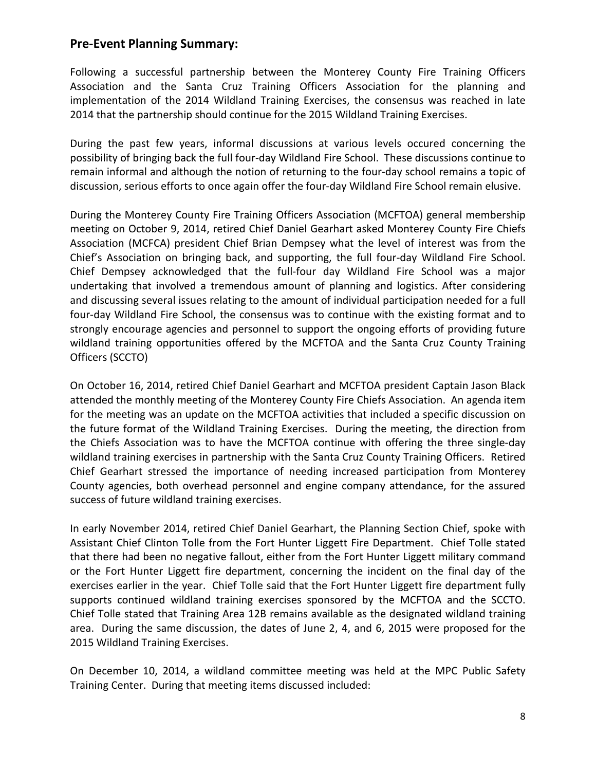#### **Pre-Event Planning Summary:**

Following a successful partnership between the Monterey County Fire Training Officers Association and the Santa Cruz Training Officers Association for the planning and implementation of the 2014 Wildland Training Exercises, the consensus was reached in late 2014 that the partnership should continue for the 2015 Wildland Training Exercises.

During the past few years, informal discussions at various levels occured concerning the possibility of bringing back the full four-day Wildland Fire School. These discussions continue to remain informal and although the notion of returning to the four-day school remains a topic of discussion, serious efforts to once again offer the four-day Wildland Fire School remain elusive.

During the Monterey County Fire Training Officers Association (MCFTOA) general membership meeting on October 9, 2014, retired Chief Daniel Gearhart asked Monterey County Fire Chiefs Association (MCFCA) president Chief Brian Dempsey what the level of interest was from the Chief's Association on bringing back, and supporting, the full four-day Wildland Fire School. Chief Dempsey acknowledged that the full-four day Wildland Fire School was a major undertaking that involved a tremendous amount of planning and logistics. After considering and discussing several issues relating to the amount of individual participation needed for a full four-day Wildland Fire School, the consensus was to continue with the existing format and to strongly encourage agencies and personnel to support the ongoing efforts of providing future wildland training opportunities offered by the MCFTOA and the Santa Cruz County Training Officers (SCCTO)

On October 16, 2014, retired Chief Daniel Gearhart and MCFTOA president Captain Jason Black attended the monthly meeting of the Monterey County Fire Chiefs Association. An agenda item for the meeting was an update on the MCFTOA activities that included a specific discussion on the future format of the Wildland Training Exercises. During the meeting, the direction from the Chiefs Association was to have the MCFTOA continue with offering the three single-day wildland training exercises in partnership with the Santa Cruz County Training Officers. Retired Chief Gearhart stressed the importance of needing increased participation from Monterey County agencies, both overhead personnel and engine company attendance, for the assured success of future wildland training exercises.

In early November 2014, retired Chief Daniel Gearhart, the Planning Section Chief, spoke with Assistant Chief Clinton Tolle from the Fort Hunter Liggett Fire Department. Chief Tolle stated that there had been no negative fallout, either from the Fort Hunter Liggett military command or the Fort Hunter Liggett fire department, concerning the incident on the final day of the exercises earlier in the year. Chief Tolle said that the Fort Hunter Liggett fire department fully supports continued wildland training exercises sponsored by the MCFTOA and the SCCTO. Chief Tolle stated that Training Area 12B remains available as the designated wildland training area. During the same discussion, the dates of June 2, 4, and 6, 2015 were proposed for the 2015 Wildland Training Exercises.

On December 10, 2014, a wildland committee meeting was held at the MPC Public Safety Training Center. During that meeting items discussed included: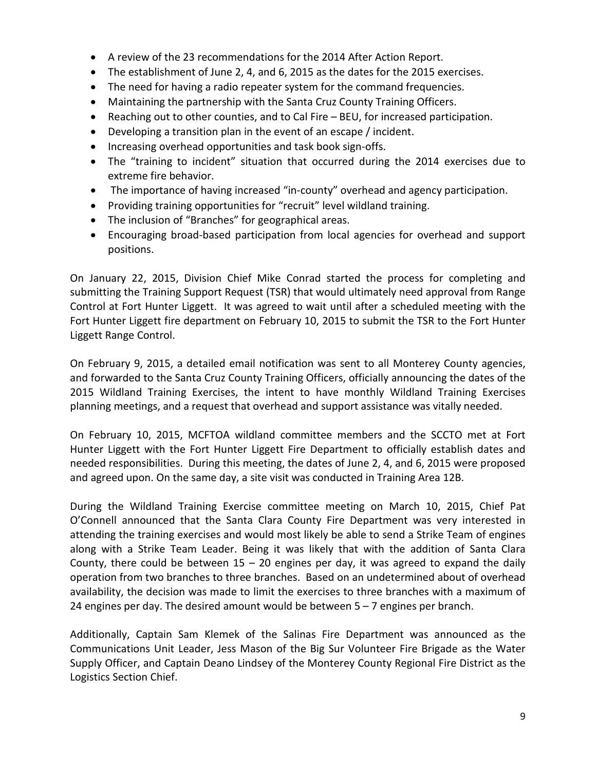- A review of the 23 recommendations for the 2014 After Action Report.
- The establishment of June 2, 4, and 6, 2015 as the dates for the 2015 exercises.
- The need for having a radio repeater system for the command frequencies.
- Maintaining the partnership with the Santa Cruz County Training Officers.
- Reaching out to other counties, and to Cal Fire BEU, for increased participation.
- Developing a transition plan in the event of an escape / incident.
- Increasing overhead opportunities and task book sign-offs.
- The "training to incident" situation that occurred during the 2014 exercises due to extreme fire behavior.
- The importance of having increased "in-county" overhead and agency participation.
- Providing training opportunities for "recruit" level wildland training.
- The inclusion of "Branches" for geographical areas.
- Encouraging broad-based participation from local agencies for overhead and support positions.

On January 22, 2015, Division Chief Mike Conrad started the process for completing and submitting the Training Support Request (TSR) that would ultimately need approval from Range Control at Fort Hunter Liggett. It was agreed to wait until after a scheduled meeting with the Fort Hunter Liggett fire department on February 10, 2015 to submit the TSR to the Fort Hunter Liggett Range Control.

On February 9, 2015, a detailed email notification was sent to all Monterey County agencies, and forwarded to the Santa Cruz County Training Officers, officially announcing the dates of the 2015 Wildland Training Exercises, the intent to have monthly Wildland Training Exercises planning meetings, and a request that overhead and support assistance was vitally needed.

On February 10, 2015, MCFTOA wildland committee members and the SCCTO met at Fort Hunter Liggett with the Fort Hunter Liggett Fire Department to officially establish dates and needed responsibilities. During this meeting, the dates of June 2, 4, and 6, 2015 were proposed and agreed upon. On the same day, a site visit was conducted in Training Area 12B.

During the Wildland Training Exercise committee meeting on March 10, 2015, Chief Pat O'Connell announced that the Santa Clara County Fire Department was very interested in attending the training exercises and would most likely be able to send a Strike Team of engines along with a Strike Team Leader. Being it was likely that with the addition of Santa Clara County, there could be between  $15 - 20$  engines per day, it was agreed to expand the daily operation from two branches to three branches. Based on an undetermined about of overhead availability, the decision was made to limit the exercises to three branches with a maximum of 24 engines per day. The desired amount would be between  $5 - 7$  engines per branch.

Additionally, Captain Sam Klemek of the Salinas Fire Department was announced as the Communications Unit Leader, Jess Mason of the Big Sur Volunteer Fire Brigade as the Water Supply Officer, and Captain Deano Lindsey of the Monterey County Regional Fire District as the Logistics Section Chief.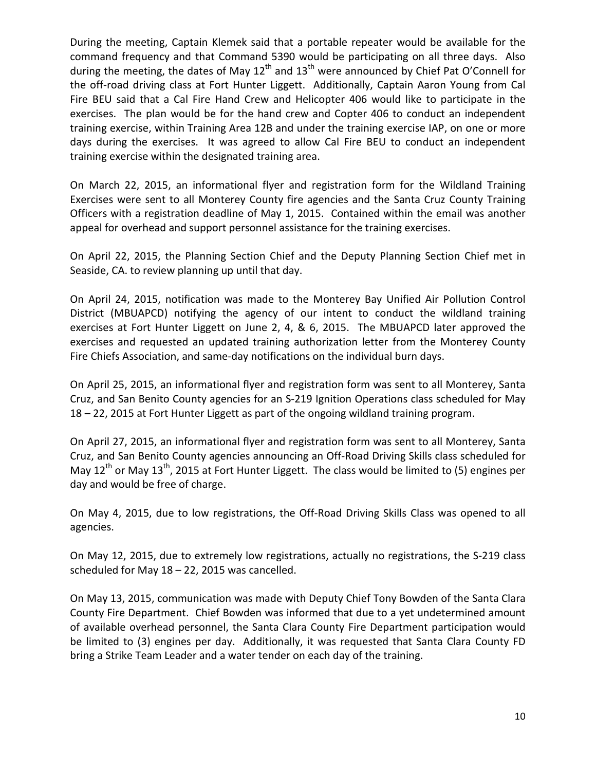During the meeting, Captain Klemek said that a portable repeater would be available for the command frequency and that Command 5390 would be participating on all three days. Also during the meeting, the dates of May  $12^{th}$  and  $13^{th}$  were announced by Chief Pat O'Connell for the off-road driving class at Fort Hunter Liggett. Additionally, Captain Aaron Young from Cal Fire BEU said that a Cal Fire Hand Crew and Helicopter 406 would like to participate in the exercises. The plan would be for the hand crew and Copter 406 to conduct an independent training exercise, within Training Area 12B and under the training exercise IAP, on one or more days during the exercises. It was agreed to allow Cal Fire BEU to conduct an independent training exercise within the designated training area.

On March 22, 2015, an informational flyer and registration form for the Wildland Training Exercises were sent to all Monterey County fire agencies and the Santa Cruz County Training Officers with a registration deadline of May 1, 2015. Contained within the email was another appeal for overhead and support personnel assistance for the training exercises.

On April 22, 2015, the Planning Section Chief and the Deputy Planning Section Chief met in Seaside, CA. to review planning up until that day.

On April 24, 2015, notification was made to the Monterey Bay Unified Air Pollution Control District (MBUAPCD) notifying the agency of our intent to conduct the wildland training exercises at Fort Hunter Liggett on June 2, 4, & 6, 2015. The MBUAPCD later approved the exercises and requested an updated training authorization letter from the Monterey County Fire Chiefs Association, and same-day notifications on the individual burn days.

On April 25, 2015, an informational flyer and registration form was sent to all Monterey, Santa Cruz, and San Benito County agencies for an S-219 Ignition Operations class scheduled for May 18 – 22, 2015 at Fort Hunter Liggett as part of the ongoing wildland training program.

On April 27, 2015, an informational flyer and registration form was sent to all Monterey, Santa Cruz, and San Benito County agencies announcing an Off-Road Driving Skills class scheduled for May  $12^{th}$  or May  $13^{th}$ , 2015 at Fort Hunter Liggett. The class would be limited to (5) engines per day and would be free of charge.

On May 4, 2015, due to low registrations, the Off-Road Driving Skills Class was opened to all agencies.

On May 12, 2015, due to extremely low registrations, actually no registrations, the S-219 class scheduled for May 18 – 22, 2015 was cancelled.

On May 13, 2015, communication was made with Deputy Chief Tony Bowden of the Santa Clara County Fire Department. Chief Bowden was informed that due to a yet undetermined amount of available overhead personnel, the Santa Clara County Fire Department participation would be limited to (3) engines per day. Additionally, it was requested that Santa Clara County FD bring a Strike Team Leader and a water tender on each day of the training.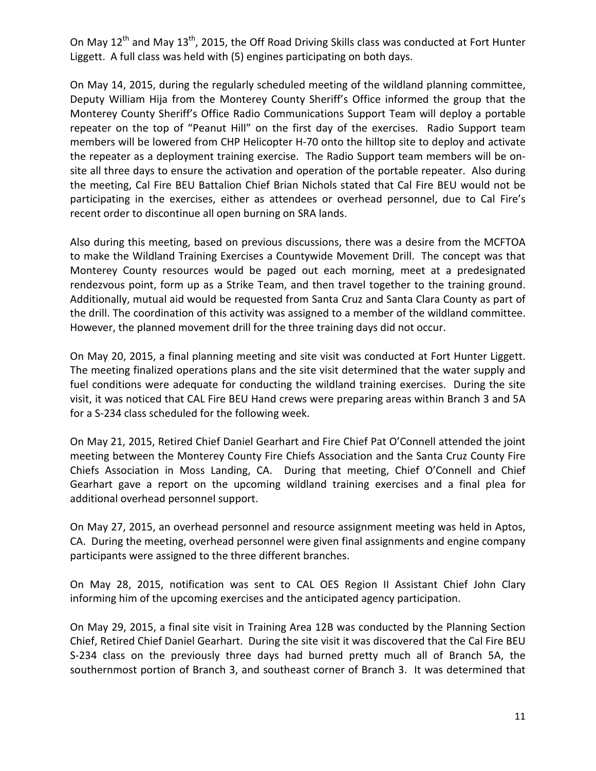On May 12<sup>th</sup> and May 13<sup>th</sup>, 2015, the Off Road Driving Skills class was conducted at Fort Hunter Liggett. A full class was held with (5) engines participating on both days.

On May 14, 2015, during the regularly scheduled meeting of the wildland planning committee, Deputy William Hija from the Monterey County Sheriff's Office informed the group that the Monterey County Sheriff's Office Radio Communications Support Team will deploy a portable repeater on the top of "Peanut Hill" on the first day of the exercises. Radio Support team members will be lowered from CHP Helicopter H-70 onto the hilltop site to deploy and activate the repeater as a deployment training exercise. The Radio Support team members will be onsite all three days to ensure the activation and operation of the portable repeater. Also during the meeting, Cal Fire BEU Battalion Chief Brian Nichols stated that Cal Fire BEU would not be participating in the exercises, either as attendees or overhead personnel, due to Cal Fire's recent order to discontinue all open burning on SRA lands.

Also during this meeting, based on previous discussions, there was a desire from the MCFTOA to make the Wildland Training Exercises a Countywide Movement Drill. The concept was that Monterey County resources would be paged out each morning, meet at a predesignated rendezvous point, form up as a Strike Team, and then travel together to the training ground. Additionally, mutual aid would be requested from Santa Cruz and Santa Clara County as part of the drill. The coordination of this activity was assigned to a member of the wildland committee. However, the planned movement drill for the three training days did not occur.

On May 20, 2015, a final planning meeting and site visit was conducted at Fort Hunter Liggett. The meeting finalized operations plans and the site visit determined that the water supply and fuel conditions were adequate for conducting the wildland training exercises. During the site visit, it was noticed that CAL Fire BEU Hand crews were preparing areas within Branch 3 and 5A for a S-234 class scheduled for the following week.

On May 21, 2015, Retired Chief Daniel Gearhart and Fire Chief Pat O'Connell attended the joint meeting between the Monterey County Fire Chiefs Association and the Santa Cruz County Fire Chiefs Association in Moss Landing, CA. During that meeting, Chief O'Connell and Chief Gearhart gave a report on the upcoming wildland training exercises and a final plea for additional overhead personnel support.

On May 27, 2015, an overhead personnel and resource assignment meeting was held in Aptos, CA. During the meeting, overhead personnel were given final assignments and engine company participants were assigned to the three different branches.

On May 28, 2015, notification was sent to CAL OES Region II Assistant Chief John Clary informing him of the upcoming exercises and the anticipated agency participation.

On May 29, 2015, a final site visit in Training Area 12B was conducted by the Planning Section Chief, Retired Chief Daniel Gearhart. During the site visit it was discovered that the Cal Fire BEU S-234 class on the previously three days had burned pretty much all of Branch 5A, the southernmost portion of Branch 3, and southeast corner of Branch 3. It was determined that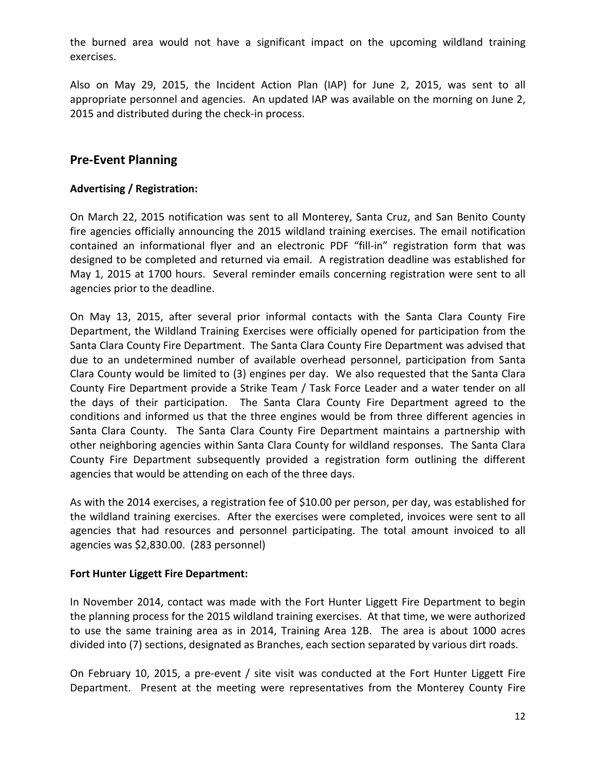the burned area would not have a significant impact on the upcoming wildland training exercises.

Also on May 29, 2015, the Incident Action Plan (IAP) for June 2, 2015, was sent to all appropriate personnel and agencies. An updated IAP was available on the morning on June 2, 2015 and distributed during the check-in process.

#### **Pre-Event Planning**

#### **Advertising / Registration:**

On March 22, 2015 notification was sent to all Monterey, Santa Cruz, and San Benito County fire agencies officially announcing the 2015 wildland training exercises. The email notification contained an informational flyer and an electronic PDF "fill-in" registration form that was designed to be completed and returned via email. A registration deadline was established for May 1, 2015 at 1700 hours. Several reminder emails concerning registration were sent to all agencies prior to the deadline.

On May 13, 2015, after several prior informal contacts with the Santa Clara County Fire Department, the Wildland Training Exercises were officially opened for participation from the Santa Clara County Fire Department. The Santa Clara County Fire Department was advised that due to an undetermined number of available overhead personnel, participation from Santa Clara County would be limited to (3) engines per day. We also requested that the Santa Clara County Fire Department provide a Strike Team / Task Force Leader and a water tender on all the days of their participation. The Santa Clara County Fire Department agreed to the conditions and informed us that the three engines would be from three different agencies in Santa Clara County. The Santa Clara County Fire Department maintains a partnership with other neighboring agencies within Santa Clara County for wildland responses. The Santa Clara County Fire Department subsequently provided a registration form outlining the different agencies that would be attending on each of the three days.

As with the 2014 exercises, a registration fee of \$10.00 per person, per day, was established for the wildland training exercises. After the exercises were completed, invoices were sent to all agencies that had resources and personnel participating. The total amount invoiced to all agencies was \$2,830.00. (283 personnel)

#### **Fort Hunter Liggett Fire Department:**

In November 2014, contact was made with the Fort Hunter Liggett Fire Department to begin the planning process for the 2015 wildland training exercises. At that time, we were authorized to use the same training area as in 2014, Training Area 12B. The area is about 1000 acres divided into (7) sections, designated as Branches, each section separated by various dirt roads.

On February 10, 2015, a pre-event / site visit was conducted at the Fort Hunter Liggett Fire Department. Present at the meeting were representatives from the Monterey County Fire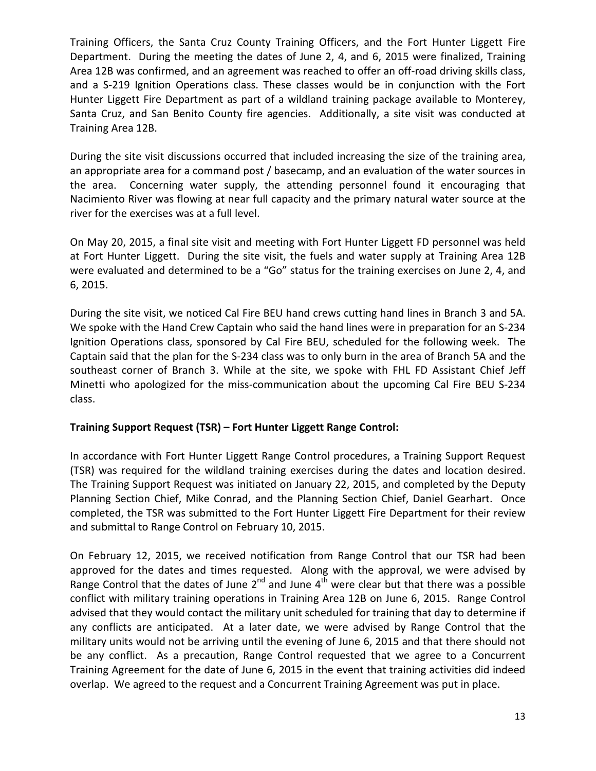Training Officers, the Santa Cruz County Training Officers, and the Fort Hunter Liggett Fire Department. During the meeting the dates of June 2, 4, and 6, 2015 were finalized, Training Area 12B was confirmed, and an agreement was reached to offer an off-road driving skills class, and a S-219 Ignition Operations class. These classes would be in conjunction with the Fort Hunter Liggett Fire Department as part of a wildland training package available to Monterey, Santa Cruz, and San Benito County fire agencies. Additionally, a site visit was conducted at Training Area 12B.

During the site visit discussions occurred that included increasing the size of the training area, an appropriate area for a command post / basecamp, and an evaluation of the water sources in the area. Concerning water supply, the attending personnel found it encouraging that Nacimiento River was flowing at near full capacity and the primary natural water source at the river for the exercises was at a full level.

On May 20, 2015, a final site visit and meeting with Fort Hunter Liggett FD personnel was held at Fort Hunter Liggett. During the site visit, the fuels and water supply at Training Area 12B were evaluated and determined to be a "Go" status for the training exercises on June 2, 4, and 6, 2015.

During the site visit, we noticed Cal Fire BEU hand crews cutting hand lines in Branch 3 and 5A. We spoke with the Hand Crew Captain who said the hand lines were in preparation for an S-234 Ignition Operations class, sponsored by Cal Fire BEU, scheduled for the following week. The Captain said that the plan for the S-234 class was to only burn in the area of Branch 5A and the southeast corner of Branch 3. While at the site, we spoke with FHL FD Assistant Chief Jeff Minetti who apologized for the miss-communication about the upcoming Cal Fire BEU S-234 class.

#### **Training Support Request (TSR) – Fort Hunter Liggett Range Control:**

In accordance with Fort Hunter Liggett Range Control procedures, a Training Support Request (TSR) was required for the wildland training exercises during the dates and location desired. The Training Support Request was initiated on January 22, 2015, and completed by the Deputy Planning Section Chief, Mike Conrad, and the Planning Section Chief, Daniel Gearhart. Once completed, the TSR was submitted to the Fort Hunter Liggett Fire Department for their review and submittal to Range Control on February 10, 2015.

On February 12, 2015, we received notification from Range Control that our TSR had been approved for the dates and times requested. Along with the approval, we were advised by Range Control that the dates of June  $2^{nd}$  and June  $4^{th}$  were clear but that there was a possible conflict with military training operations in Training Area 12B on June 6, 2015. Range Control advised that they would contact the military unit scheduled for training that day to determine if any conflicts are anticipated. At a later date, we were advised by Range Control that the military units would not be arriving until the evening of June 6, 2015 and that there should not be any conflict. As a precaution, Range Control requested that we agree to a Concurrent Training Agreement for the date of June 6, 2015 in the event that training activities did indeed overlap. We agreed to the request and a Concurrent Training Agreement was put in place.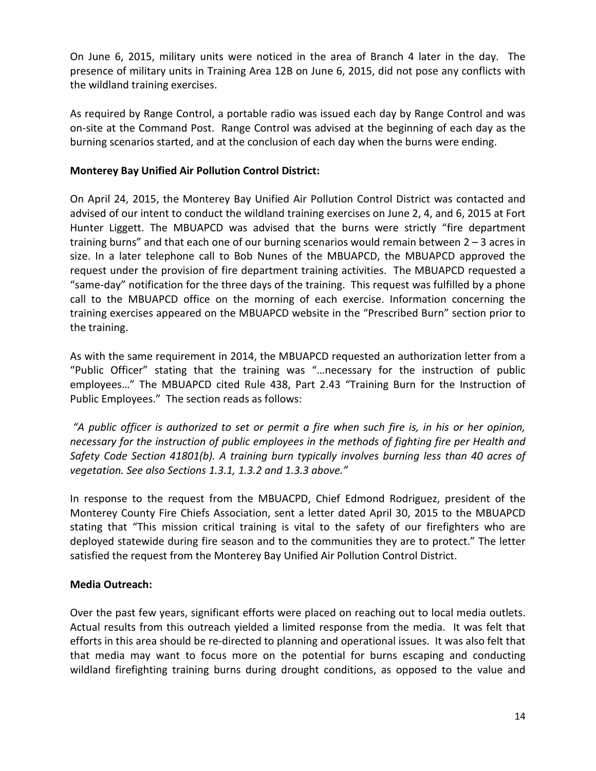On June 6, 2015, military units were noticed in the area of Branch 4 later in the day. The presence of military units in Training Area 12B on June 6, 2015, did not pose any conflicts with the wildland training exercises.

As required by Range Control, a portable radio was issued each day by Range Control and was on-site at the Command Post. Range Control was advised at the beginning of each day as the burning scenarios started, and at the conclusion of each day when the burns were ending.

#### **Monterey Bay Unified Air Pollution Control District:**

On April 24, 2015, the Monterey Bay Unified Air Pollution Control District was contacted and advised of our intent to conduct the wildland training exercises on June 2, 4, and 6, 2015 at Fort Hunter Liggett. The MBUAPCD was advised that the burns were strictly "fire department training burns" and that each one of our burning scenarios would remain between  $2 - 3$  acres in size. In a later telephone call to Bob Nunes of the MBUAPCD, the MBUAPCD approved the request under the provision of fire department training activities. The MBUAPCD requested a "same-day" notification for the three days of the training. This request was fulfilled by a phone call to the MBUAPCD office on the morning of each exercise. Information concerning the training exercises appeared on the MBUAPCD website in the "Prescribed Burn" section prior to the training.

As with the same requirement in 2014, the MBUAPCD requested an authorization letter from a "Public Officer" stating that the training was "…necessary for the instruction of public employees…" The MBUAPCD cited Rule 438, Part 2.43 "Training Burn for the Instruction of Public Employees." The section reads as follows:

*"A public officer is authorized to set or permit a fire when such fire is, in his or her opinion, necessary for the instruction of public employees in the methods of fighting fire per Health and Safety Code Section 41801(b). A training burn typically involves burning less than 40 acres of vegetation. See also Sections 1.3.1, 1.3.2 and 1.3.3 above."*

In response to the request from the MBUACPD, Chief Edmond Rodriguez, president of the Monterey County Fire Chiefs Association, sent a letter dated April 30, 2015 to the MBUAPCD stating that "This mission critical training is vital to the safety of our firefighters who are deployed statewide during fire season and to the communities they are to protect." The letter satisfied the request from the Monterey Bay Unified Air Pollution Control District.

#### **Media Outreach:**

Over the past few years, significant efforts were placed on reaching out to local media outlets. Actual results from this outreach yielded a limited response from the media. It was felt that efforts in this area should be re-directed to planning and operational issues. It was also felt that that media may want to focus more on the potential for burns escaping and conducting wildland firefighting training burns during drought conditions, as opposed to the value and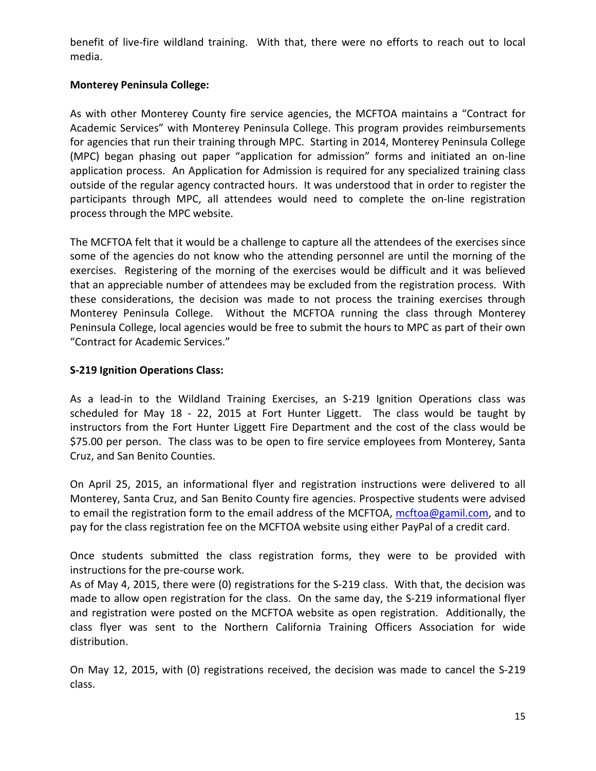benefit of live-fire wildland training. With that, there were no efforts to reach out to local media.

#### **Monterey Peninsula College:**

As with other Monterey County fire service agencies, the MCFTOA maintains a "Contract for Academic Services" with Monterey Peninsula College. This program provides reimbursements for agencies that run their training through MPC. Starting in 2014, Monterey Peninsula College (MPC) began phasing out paper "application for admission" forms and initiated an on-line application process. An Application for Admission is required for any specialized training class outside of the regular agency contracted hours. It was understood that in order to register the participants through MPC, all attendees would need to complete the on-line registration process through the MPC website.

The MCFTOA felt that it would be a challenge to capture all the attendees of the exercises since some of the agencies do not know who the attending personnel are until the morning of the exercises. Registering of the morning of the exercises would be difficult and it was believed that an appreciable number of attendees may be excluded from the registration process. With these considerations, the decision was made to not process the training exercises through Monterey Peninsula College. Without the MCFTOA running the class through Monterey Peninsula College, local agencies would be free to submit the hours to MPC as part of their own "Contract for Academic Services."

#### **S-219 Ignition Operations Class:**

As a lead-in to the Wildland Training Exercises, an S-219 Ignition Operations class was scheduled for May 18 - 22, 2015 at Fort Hunter Liggett. The class would be taught by instructors from the Fort Hunter Liggett Fire Department and the cost of the class would be \$75.00 per person. The class was to be open to fire service employees from Monterey, Santa Cruz, and San Benito Counties.

On April 25, 2015, an informational flyer and registration instructions were delivered to all Monterey, Santa Cruz, and San Benito County fire agencies. Prospective students were advised to email the registration form to the email address of the MCFTOA, [mcftoa@gamil.com,](mailto:mcftoa@gamil.com) and to pay for the class registration fee on the MCFTOA website using either PayPal of a credit card.

Once students submitted the class registration forms, they were to be provided with instructions for the pre-course work.

As of May 4, 2015, there were (0) registrations for the S-219 class. With that, the decision was made to allow open registration for the class. On the same day, the S-219 informational flyer and registration were posted on the MCFTOA website as open registration. Additionally, the class flyer was sent to the Northern California Training Officers Association for wide distribution.

On May 12, 2015, with (0) registrations received, the decision was made to cancel the S-219 class.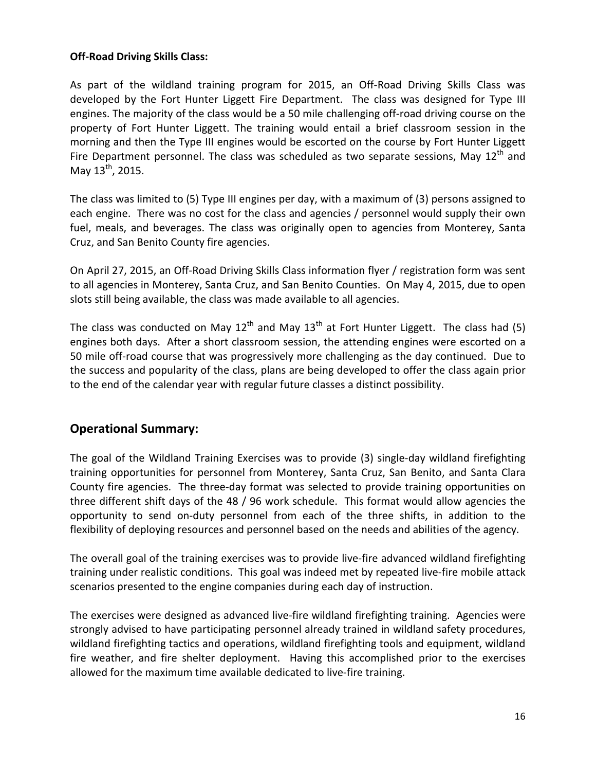#### **Off-Road Driving Skills Class:**

As part of the wildland training program for 2015, an Off-Road Driving Skills Class was developed by the Fort Hunter Liggett Fire Department. The class was designed for Type III engines. The majority of the class would be a 50 mile challenging off-road driving course on the property of Fort Hunter Liggett. The training would entail a brief classroom session in the morning and then the Type III engines would be escorted on the course by Fort Hunter Liggett Fire Department personnel. The class was scheduled as two separate sessions, May  $12<sup>th</sup>$  and May  $13^{th}$ , 2015.

The class was limited to (5) Type III engines per day, with a maximum of (3) persons assigned to each engine. There was no cost for the class and agencies / personnel would supply their own fuel, meals, and beverages. The class was originally open to agencies from Monterey, Santa Cruz, and San Benito County fire agencies.

On April 27, 2015, an Off-Road Driving Skills Class information flyer / registration form was sent to all agencies in Monterey, Santa Cruz, and San Benito Counties. On May 4, 2015, due to open slots still being available, the class was made available to all agencies.

The class was conducted on May  $12^{th}$  and May  $13^{th}$  at Fort Hunter Liggett. The class had (5) engines both days. After a short classroom session, the attending engines were escorted on a 50 mile off-road course that was progressively more challenging as the day continued. Due to the success and popularity of the class, plans are being developed to offer the class again prior to the end of the calendar year with regular future classes a distinct possibility.

#### **Operational Summary:**

The goal of the Wildland Training Exercises was to provide (3) single-day wildland firefighting training opportunities for personnel from Monterey, Santa Cruz, San Benito, and Santa Clara County fire agencies. The three-day format was selected to provide training opportunities on three different shift days of the 48 / 96 work schedule. This format would allow agencies the opportunity to send on-duty personnel from each of the three shifts, in addition to the flexibility of deploying resources and personnel based on the needs and abilities of the agency.

The overall goal of the training exercises was to provide live-fire advanced wildland firefighting training under realistic conditions. This goal was indeed met by repeated live-fire mobile attack scenarios presented to the engine companies during each day of instruction.

The exercises were designed as advanced live-fire wildland firefighting training. Agencies were strongly advised to have participating personnel already trained in wildland safety procedures, wildland firefighting tactics and operations, wildland firefighting tools and equipment, wildland fire weather, and fire shelter deployment. Having this accomplished prior to the exercises allowed for the maximum time available dedicated to live-fire training.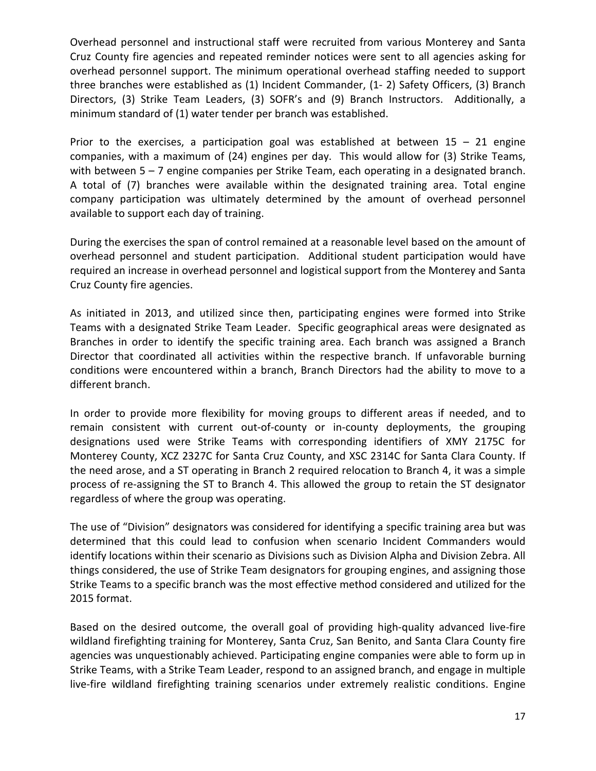Overhead personnel and instructional staff were recruited from various Monterey and Santa Cruz County fire agencies and repeated reminder notices were sent to all agencies asking for overhead personnel support. The minimum operational overhead staffing needed to support three branches were established as (1) Incident Commander, (1- 2) Safety Officers, (3) Branch Directors, (3) Strike Team Leaders, (3) SOFR's and (9) Branch Instructors. Additionally, a minimum standard of (1) water tender per branch was established.

Prior to the exercises, a participation goal was established at between  $15 - 21$  engine companies, with a maximum of (24) engines per day. This would allow for (3) Strike Teams, with between 5 – 7 engine companies per Strike Team, each operating in a designated branch. A total of (7) branches were available within the designated training area. Total engine company participation was ultimately determined by the amount of overhead personnel available to support each day of training.

During the exercises the span of control remained at a reasonable level based on the amount of overhead personnel and student participation. Additional student participation would have required an increase in overhead personnel and logistical support from the Monterey and Santa Cruz County fire agencies.

As initiated in 2013, and utilized since then, participating engines were formed into Strike Teams with a designated Strike Team Leader. Specific geographical areas were designated as Branches in order to identify the specific training area. Each branch was assigned a Branch Director that coordinated all activities within the respective branch. If unfavorable burning conditions were encountered within a branch, Branch Directors had the ability to move to a different branch.

In order to provide more flexibility for moving groups to different areas if needed, and to remain consistent with current out-of-county or in-county deployments, the grouping designations used were Strike Teams with corresponding identifiers of XMY 2175C for Monterey County, XCZ 2327C for Santa Cruz County, and XSC 2314C for Santa Clara County. If the need arose, and a ST operating in Branch 2 required relocation to Branch 4, it was a simple process of re-assigning the ST to Branch 4. This allowed the group to retain the ST designator regardless of where the group was operating.

The use of "Division" designators was considered for identifying a specific training area but was determined that this could lead to confusion when scenario Incident Commanders would identify locations within their scenario as Divisions such as Division Alpha and Division Zebra. All things considered, the use of Strike Team designators for grouping engines, and assigning those Strike Teams to a specific branch was the most effective method considered and utilized for the 2015 format.

Based on the desired outcome, the overall goal of providing high-quality advanced live-fire wildland firefighting training for Monterey, Santa Cruz, San Benito, and Santa Clara County fire agencies was unquestionably achieved. Participating engine companies were able to form up in Strike Teams, with a Strike Team Leader, respond to an assigned branch, and engage in multiple live-fire wildland firefighting training scenarios under extremely realistic conditions. Engine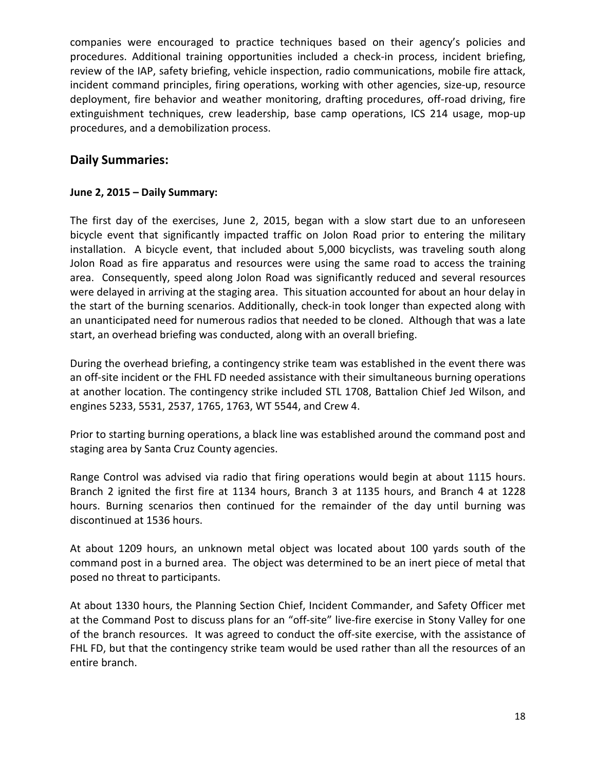companies were encouraged to practice techniques based on their agency's policies and procedures. Additional training opportunities included a check-in process, incident briefing, review of the IAP, safety briefing, vehicle inspection, radio communications, mobile fire attack, incident command principles, firing operations, working with other agencies, size-up, resource deployment, fire behavior and weather monitoring, drafting procedures, off-road driving, fire extinguishment techniques, crew leadership, base camp operations, ICS 214 usage, mop-up procedures, and a demobilization process.

#### **Daily Summaries:**

#### **June 2, 2015 – Daily Summary:**

The first day of the exercises, June 2, 2015, began with a slow start due to an unforeseen bicycle event that significantly impacted traffic on Jolon Road prior to entering the military installation. A bicycle event, that included about 5,000 bicyclists, was traveling south along Jolon Road as fire apparatus and resources were using the same road to access the training area. Consequently, speed along Jolon Road was significantly reduced and several resources were delayed in arriving at the staging area. This situation accounted for about an hour delay in the start of the burning scenarios. Additionally, check-in took longer than expected along with an unanticipated need for numerous radios that needed to be cloned. Although that was a late start, an overhead briefing was conducted, along with an overall briefing.

During the overhead briefing, a contingency strike team was established in the event there was an off-site incident or the FHL FD needed assistance with their simultaneous burning operations at another location. The contingency strike included STL 1708, Battalion Chief Jed Wilson, and engines 5233, 5531, 2537, 1765, 1763, WT 5544, and Crew 4.

Prior to starting burning operations, a black line was established around the command post and staging area by Santa Cruz County agencies.

Range Control was advised via radio that firing operations would begin at about 1115 hours. Branch 2 ignited the first fire at 1134 hours, Branch 3 at 1135 hours, and Branch 4 at 1228 hours. Burning scenarios then continued for the remainder of the day until burning was discontinued at 1536 hours.

At about 1209 hours, an unknown metal object was located about 100 yards south of the command post in a burned area. The object was determined to be an inert piece of metal that posed no threat to participants.

At about 1330 hours, the Planning Section Chief, Incident Commander, and Safety Officer met at the Command Post to discuss plans for an "off-site" live-fire exercise in Stony Valley for one of the branch resources. It was agreed to conduct the off-site exercise, with the assistance of FHL FD, but that the contingency strike team would be used rather than all the resources of an entire branch.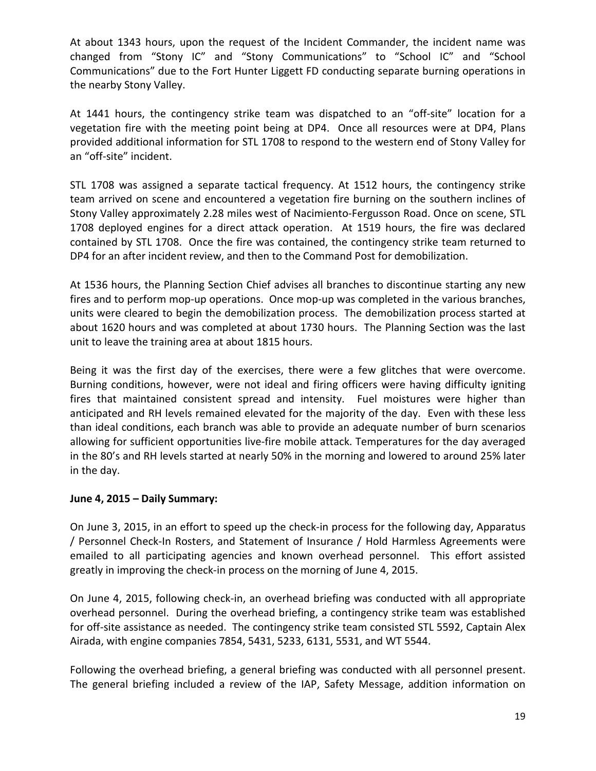At about 1343 hours, upon the request of the Incident Commander, the incident name was changed from "Stony IC" and "Stony Communications" to "School IC" and "School Communications" due to the Fort Hunter Liggett FD conducting separate burning operations in the nearby Stony Valley.

At 1441 hours, the contingency strike team was dispatched to an "off-site" location for a vegetation fire with the meeting point being at DP4. Once all resources were at DP4, Plans provided additional information for STL 1708 to respond to the western end of Stony Valley for an "off-site" incident.

STL 1708 was assigned a separate tactical frequency. At 1512 hours, the contingency strike team arrived on scene and encountered a vegetation fire burning on the southern inclines of Stony Valley approximately 2.28 miles west of Nacimiento-Fergusson Road. Once on scene, STL 1708 deployed engines for a direct attack operation. At 1519 hours, the fire was declared contained by STL 1708. Once the fire was contained, the contingency strike team returned to DP4 for an after incident review, and then to the Command Post for demobilization.

At 1536 hours, the Planning Section Chief advises all branches to discontinue starting any new fires and to perform mop-up operations. Once mop-up was completed in the various branches, units were cleared to begin the demobilization process. The demobilization process started at about 1620 hours and was completed at about 1730 hours. The Planning Section was the last unit to leave the training area at about 1815 hours.

Being it was the first day of the exercises, there were a few glitches that were overcome. Burning conditions, however, were not ideal and firing officers were having difficulty igniting fires that maintained consistent spread and intensity. Fuel moistures were higher than anticipated and RH levels remained elevated for the majority of the day. Even with these less than ideal conditions, each branch was able to provide an adequate number of burn scenarios allowing for sufficient opportunities live-fire mobile attack. Temperatures for the day averaged in the 80's and RH levels started at nearly 50% in the morning and lowered to around 25% later in the day.

#### **June 4, 2015 – Daily Summary:**

On June 3, 2015, in an effort to speed up the check-in process for the following day, Apparatus / Personnel Check-In Rosters, and Statement of Insurance / Hold Harmless Agreements were emailed to all participating agencies and known overhead personnel. This effort assisted greatly in improving the check-in process on the morning of June 4, 2015.

On June 4, 2015, following check-in, an overhead briefing was conducted with all appropriate overhead personnel. During the overhead briefing, a contingency strike team was established for off-site assistance as needed. The contingency strike team consisted STL 5592, Captain Alex Airada, with engine companies 7854, 5431, 5233, 6131, 5531, and WT 5544.

Following the overhead briefing, a general briefing was conducted with all personnel present. The general briefing included a review of the IAP, Safety Message, addition information on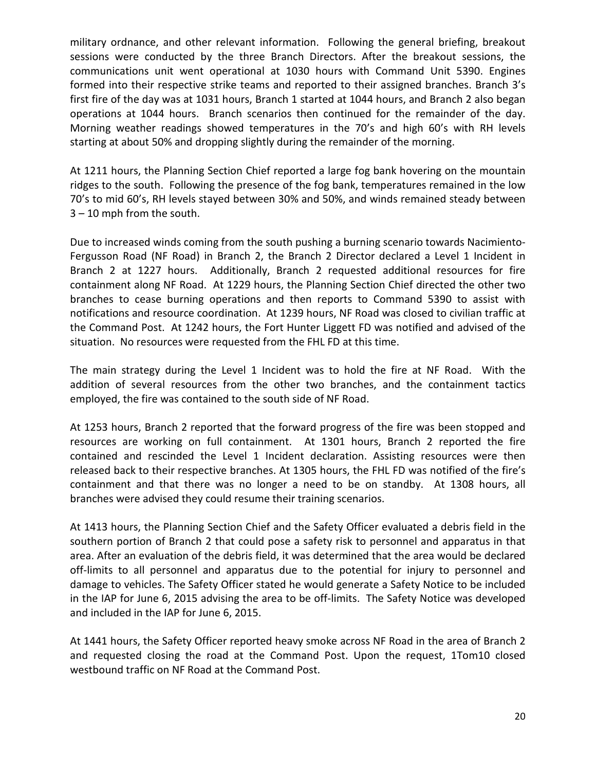military ordnance, and other relevant information. Following the general briefing, breakout sessions were conducted by the three Branch Directors. After the breakout sessions, the communications unit went operational at 1030 hours with Command Unit 5390. Engines formed into their respective strike teams and reported to their assigned branches. Branch 3's first fire of the day was at 1031 hours, Branch 1 started at 1044 hours, and Branch 2 also began operations at 1044 hours. Branch scenarios then continued for the remainder of the day. Morning weather readings showed temperatures in the 70's and high 60's with RH levels starting at about 50% and dropping slightly during the remainder of the morning.

At 1211 hours, the Planning Section Chief reported a large fog bank hovering on the mountain ridges to the south. Following the presence of the fog bank, temperatures remained in the low 70's to mid 60's, RH levels stayed between 30% and 50%, and winds remained steady between 3 – 10 mph from the south.

Due to increased winds coming from the south pushing a burning scenario towards Nacimiento-Fergusson Road (NF Road) in Branch 2, the Branch 2 Director declared a Level 1 Incident in Branch 2 at 1227 hours. Additionally, Branch 2 requested additional resources for fire containment along NF Road. At 1229 hours, the Planning Section Chief directed the other two branches to cease burning operations and then reports to Command 5390 to assist with notifications and resource coordination. At 1239 hours, NF Road was closed to civilian traffic at the Command Post. At 1242 hours, the Fort Hunter Liggett FD was notified and advised of the situation. No resources were requested from the FHL FD at this time.

The main strategy during the Level 1 Incident was to hold the fire at NF Road. With the addition of several resources from the other two branches, and the containment tactics employed, the fire was contained to the south side of NF Road.

At 1253 hours, Branch 2 reported that the forward progress of the fire was been stopped and resources are working on full containment. At 1301 hours, Branch 2 reported the fire contained and rescinded the Level 1 Incident declaration. Assisting resources were then released back to their respective branches. At 1305 hours, the FHL FD was notified of the fire's containment and that there was no longer a need to be on standby. At 1308 hours, all branches were advised they could resume their training scenarios.

At 1413 hours, the Planning Section Chief and the Safety Officer evaluated a debris field in the southern portion of Branch 2 that could pose a safety risk to personnel and apparatus in that area. After an evaluation of the debris field, it was determined that the area would be declared off-limits to all personnel and apparatus due to the potential for injury to personnel and damage to vehicles. The Safety Officer stated he would generate a Safety Notice to be included in the IAP for June 6, 2015 advising the area to be off-limits. The Safety Notice was developed and included in the IAP for June 6, 2015.

At 1441 hours, the Safety Officer reported heavy smoke across NF Road in the area of Branch 2 and requested closing the road at the Command Post. Upon the request, 1Tom10 closed westbound traffic on NF Road at the Command Post.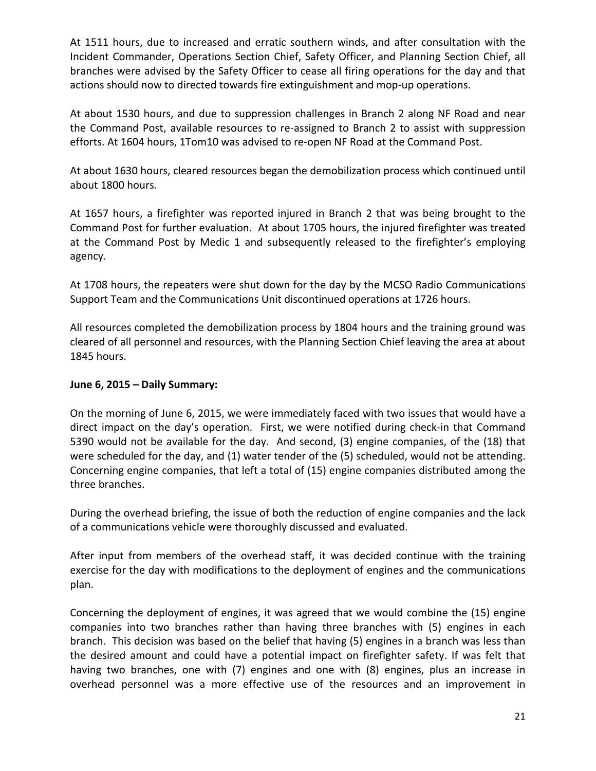At 1511 hours, due to increased and erratic southern winds, and after consultation with the Incident Commander, Operations Section Chief, Safety Officer, and Planning Section Chief, all branches were advised by the Safety Officer to cease all firing operations for the day and that actions should now to directed towards fire extinguishment and mop-up operations.

At about 1530 hours, and due to suppression challenges in Branch 2 along NF Road and near the Command Post, available resources to re-assigned to Branch 2 to assist with suppression efforts. At 1604 hours, 1Tom10 was advised to re-open NF Road at the Command Post.

At about 1630 hours, cleared resources began the demobilization process which continued until about 1800 hours.

At 1657 hours, a firefighter was reported injured in Branch 2 that was being brought to the Command Post for further evaluation. At about 1705 hours, the injured firefighter was treated at the Command Post by Medic 1 and subsequently released to the firefighter's employing agency.

At 1708 hours, the repeaters were shut down for the day by the MCSO Radio Communications Support Team and the Communications Unit discontinued operations at 1726 hours.

All resources completed the demobilization process by 1804 hours and the training ground was cleared of all personnel and resources, with the Planning Section Chief leaving the area at about 1845 hours.

#### **June 6, 2015 – Daily Summary:**

On the morning of June 6, 2015, we were immediately faced with two issues that would have a direct impact on the day's operation. First, we were notified during check-in that Command 5390 would not be available for the day. And second, (3) engine companies, of the (18) that were scheduled for the day, and (1) water tender of the (5) scheduled, would not be attending. Concerning engine companies, that left a total of (15) engine companies distributed among the three branches.

During the overhead briefing, the issue of both the reduction of engine companies and the lack of a communications vehicle were thoroughly discussed and evaluated.

After input from members of the overhead staff, it was decided continue with the training exercise for the day with modifications to the deployment of engines and the communications plan.

Concerning the deployment of engines, it was agreed that we would combine the (15) engine companies into two branches rather than having three branches with (5) engines in each branch. This decision was based on the belief that having (5) engines in a branch was less than the desired amount and could have a potential impact on firefighter safety. If was felt that having two branches, one with (7) engines and one with (8) engines, plus an increase in overhead personnel was a more effective use of the resources and an improvement in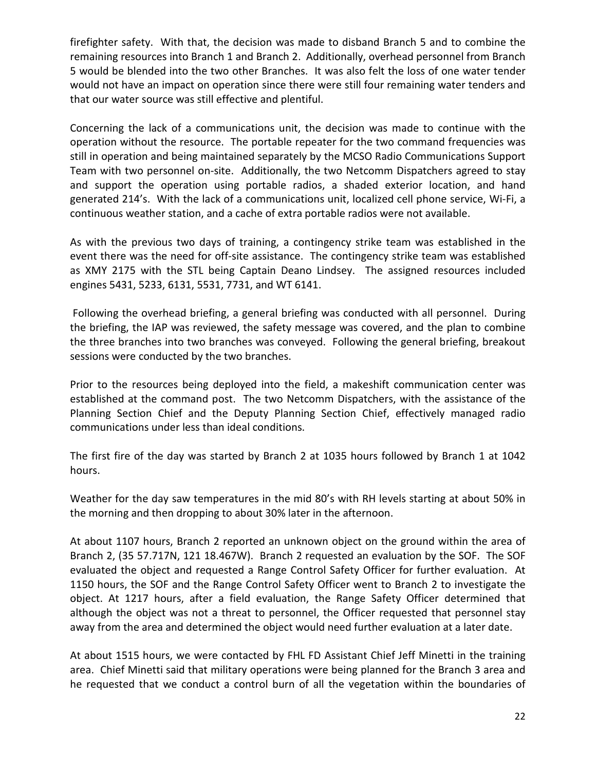firefighter safety. With that, the decision was made to disband Branch 5 and to combine the remaining resources into Branch 1 and Branch 2. Additionally, overhead personnel from Branch 5 would be blended into the two other Branches. It was also felt the loss of one water tender would not have an impact on operation since there were still four remaining water tenders and that our water source was still effective and plentiful.

Concerning the lack of a communications unit, the decision was made to continue with the operation without the resource. The portable repeater for the two command frequencies was still in operation and being maintained separately by the MCSO Radio Communications Support Team with two personnel on-site. Additionally, the two Netcomm Dispatchers agreed to stay and support the operation using portable radios, a shaded exterior location, and hand generated 214's. With the lack of a communications unit, localized cell phone service, Wi-Fi, a continuous weather station, and a cache of extra portable radios were not available.

As with the previous two days of training, a contingency strike team was established in the event there was the need for off-site assistance. The contingency strike team was established as XMY 2175 with the STL being Captain Deano Lindsey. The assigned resources included engines 5431, 5233, 6131, 5531, 7731, and WT 6141.

Following the overhead briefing, a general briefing was conducted with all personnel. During the briefing, the IAP was reviewed, the safety message was covered, and the plan to combine the three branches into two branches was conveyed. Following the general briefing, breakout sessions were conducted by the two branches.

Prior to the resources being deployed into the field, a makeshift communication center was established at the command post. The two Netcomm Dispatchers, with the assistance of the Planning Section Chief and the Deputy Planning Section Chief, effectively managed radio communications under less than ideal conditions.

The first fire of the day was started by Branch 2 at 1035 hours followed by Branch 1 at 1042 hours.

Weather for the day saw temperatures in the mid 80's with RH levels starting at about 50% in the morning and then dropping to about 30% later in the afternoon.

At about 1107 hours, Branch 2 reported an unknown object on the ground within the area of Branch 2, (35 57.717N, 121 18.467W). Branch 2 requested an evaluation by the SOF. The SOF evaluated the object and requested a Range Control Safety Officer for further evaluation. At 1150 hours, the SOF and the Range Control Safety Officer went to Branch 2 to investigate the object. At 1217 hours, after a field evaluation, the Range Safety Officer determined that although the object was not a threat to personnel, the Officer requested that personnel stay away from the area and determined the object would need further evaluation at a later date.

At about 1515 hours, we were contacted by FHL FD Assistant Chief Jeff Minetti in the training area. Chief Minetti said that military operations were being planned for the Branch 3 area and he requested that we conduct a control burn of all the vegetation within the boundaries of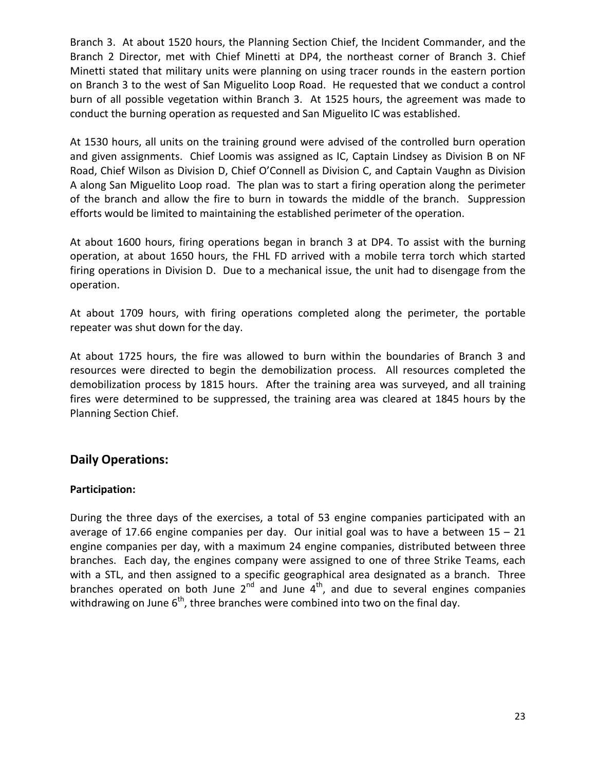Branch 3. At about 1520 hours, the Planning Section Chief, the Incident Commander, and the Branch 2 Director, met with Chief Minetti at DP4, the northeast corner of Branch 3. Chief Minetti stated that military units were planning on using tracer rounds in the eastern portion on Branch 3 to the west of San Miguelito Loop Road. He requested that we conduct a control burn of all possible vegetation within Branch 3. At 1525 hours, the agreement was made to conduct the burning operation as requested and San Miguelito IC was established.

At 1530 hours, all units on the training ground were advised of the controlled burn operation and given assignments. Chief Loomis was assigned as IC, Captain Lindsey as Division B on NF Road, Chief Wilson as Division D, Chief O'Connell as Division C, and Captain Vaughn as Division A along San Miguelito Loop road. The plan was to start a firing operation along the perimeter of the branch and allow the fire to burn in towards the middle of the branch. Suppression efforts would be limited to maintaining the established perimeter of the operation.

At about 1600 hours, firing operations began in branch 3 at DP4. To assist with the burning operation, at about 1650 hours, the FHL FD arrived with a mobile terra torch which started firing operations in Division D. Due to a mechanical issue, the unit had to disengage from the operation.

At about 1709 hours, with firing operations completed along the perimeter, the portable repeater was shut down for the day.

At about 1725 hours, the fire was allowed to burn within the boundaries of Branch 3 and resources were directed to begin the demobilization process. All resources completed the demobilization process by 1815 hours. After the training area was surveyed, and all training fires were determined to be suppressed, the training area was cleared at 1845 hours by the Planning Section Chief.

#### **Daily Operations:**

#### **Participation:**

During the three days of the exercises, a total of 53 engine companies participated with an average of 17.66 engine companies per day. Our initial goal was to have a between  $15 - 21$ engine companies per day, with a maximum 24 engine companies, distributed between three branches. Each day, the engines company were assigned to one of three Strike Teams, each with a STL, and then assigned to a specific geographical area designated as a branch. Three branches operated on both June  $2^{nd}$  and June  $4^{th}$ , and due to several engines companies withdrawing on June  $6<sup>th</sup>$ , three branches were combined into two on the final day.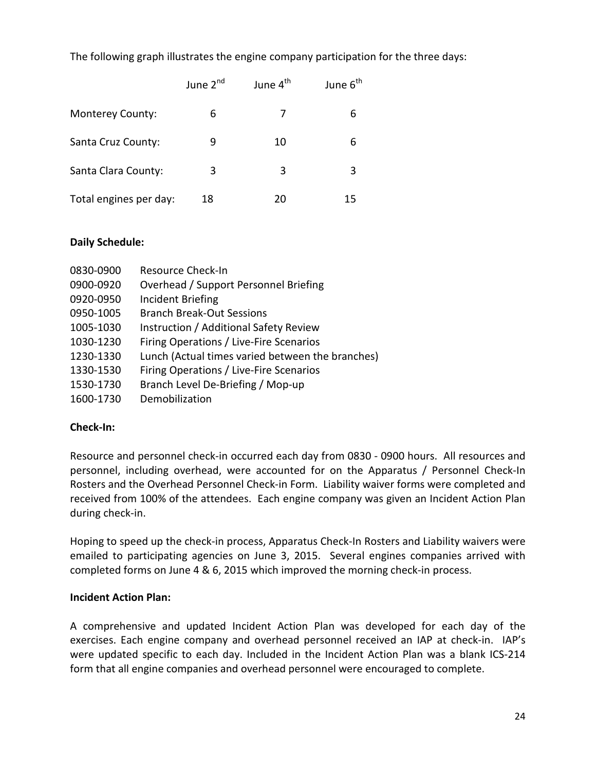The following graph illustrates the engine company participation for the three days:

|                        | June 2 <sup>nd</sup> | June 4 <sup>th</sup> | June 6 <sup>th</sup> |
|------------------------|----------------------|----------------------|----------------------|
| Monterey County:       | 6                    |                      | 6                    |
| Santa Cruz County:     | 9                    | 10                   | 6                    |
| Santa Clara County:    | 3                    | 3                    | 3                    |
| Total engines per day: | 18                   | 20                   | 15                   |

#### **Daily Schedule:**

| 0830-0900 | Resource Check-In                                |
|-----------|--------------------------------------------------|
| 0900-0920 | Overhead / Support Personnel Briefing            |
| 0920-0950 | <b>Incident Briefing</b>                         |
| 0950-1005 | <b>Branch Break-Out Sessions</b>                 |
| 1005-1030 | Instruction / Additional Safety Review           |
| 1030-1230 | Firing Operations / Live-Fire Scenarios          |
| 1230-1330 | Lunch (Actual times varied between the branches) |
| 1330-1530 | Firing Operations / Live-Fire Scenarios          |
| 1530-1730 | Branch Level De-Briefing / Mop-up                |
| 1600-1730 | Demobilization                                   |

#### **Check-In:**

Resource and personnel check-in occurred each day from 0830 - 0900 hours. All resources and personnel, including overhead, were accounted for on the Apparatus / Personnel Check-In Rosters and the Overhead Personnel Check-in Form. Liability waiver forms were completed and received from 100% of the attendees. Each engine company was given an Incident Action Plan during check-in.

Hoping to speed up the check-in process, Apparatus Check-In Rosters and Liability waivers were emailed to participating agencies on June 3, 2015. Several engines companies arrived with completed forms on June 4 & 6, 2015 which improved the morning check-in process.

#### **Incident Action Plan:**

A comprehensive and updated Incident Action Plan was developed for each day of the exercises. Each engine company and overhead personnel received an IAP at check-in. IAP's were updated specific to each day. Included in the Incident Action Plan was a blank ICS-214 form that all engine companies and overhead personnel were encouraged to complete.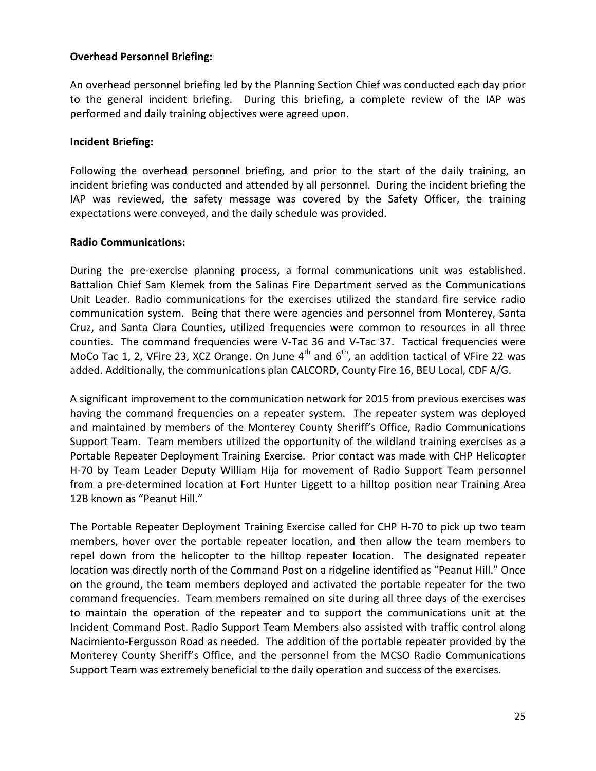#### **Overhead Personnel Briefing:**

An overhead personnel briefing led by the Planning Section Chief was conducted each day prior to the general incident briefing. During this briefing, a complete review of the IAP was performed and daily training objectives were agreed upon.

#### **Incident Briefing:**

Following the overhead personnel briefing, and prior to the start of the daily training, an incident briefing was conducted and attended by all personnel. During the incident briefing the IAP was reviewed, the safety message was covered by the Safety Officer, the training expectations were conveyed, and the daily schedule was provided.

#### **Radio Communications:**

During the pre-exercise planning process, a formal communications unit was established. Battalion Chief Sam Klemek from the Salinas Fire Department served as the Communications Unit Leader. Radio communications for the exercises utilized the standard fire service radio communication system. Being that there were agencies and personnel from Monterey, Santa Cruz, and Santa Clara Counties, utilized frequencies were common to resources in all three counties. The command frequencies were V-Tac 36 and V-Tac 37. Tactical frequencies were MoCo Tac 1, 2, VFire 23, XCZ Orange. On June  $4<sup>th</sup>$  and  $6<sup>th</sup>$ , an addition tactical of VFire 22 was added. Additionally, the communications plan CALCORD, County Fire 16, BEU Local, CDF A/G.

A significant improvement to the communication network for 2015 from previous exercises was having the command frequencies on a repeater system. The repeater system was deployed and maintained by members of the Monterey County Sheriff's Office, Radio Communications Support Team. Team members utilized the opportunity of the wildland training exercises as a Portable Repeater Deployment Training Exercise. Prior contact was made with CHP Helicopter H-70 by Team Leader Deputy William Hija for movement of Radio Support Team personnel from a pre-determined location at Fort Hunter Liggett to a hilltop position near Training Area 12B known as "Peanut Hill."

The Portable Repeater Deployment Training Exercise called for CHP H-70 to pick up two team members, hover over the portable repeater location, and then allow the team members to repel down from the helicopter to the hilltop repeater location. The designated repeater location was directly north of the Command Post on a ridgeline identified as "Peanut Hill." Once on the ground, the team members deployed and activated the portable repeater for the two command frequencies. Team members remained on site during all three days of the exercises to maintain the operation of the repeater and to support the communications unit at the Incident Command Post. Radio Support Team Members also assisted with traffic control along Nacimiento-Fergusson Road as needed. The addition of the portable repeater provided by the Monterey County Sheriff's Office, and the personnel from the MCSO Radio Communications Support Team was extremely beneficial to the daily operation and success of the exercises.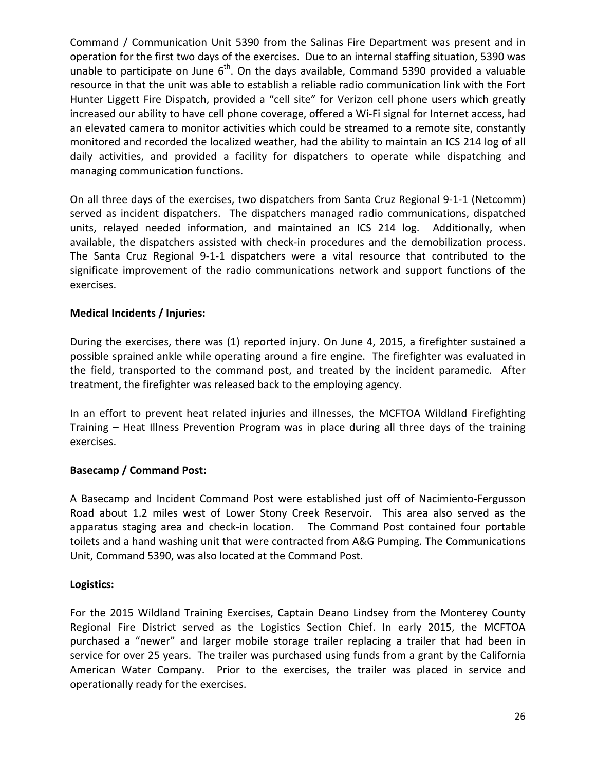Command / Communication Unit 5390 from the Salinas Fire Department was present and in operation for the first two days of the exercises. Due to an internal staffing situation, 5390 was unable to participate on June  $6<sup>th</sup>$ . On the days available, Command 5390 provided a valuable resource in that the unit was able to establish a reliable radio communication link with the Fort Hunter Liggett Fire Dispatch, provided a "cell site" for Verizon cell phone users which greatly increased our ability to have cell phone coverage, offered a Wi-Fi signal for Internet access, had an elevated camera to monitor activities which could be streamed to a remote site, constantly monitored and recorded the localized weather, had the ability to maintain an ICS 214 log of all daily activities, and provided a facility for dispatchers to operate while dispatching and managing communication functions.

On all three days of the exercises, two dispatchers from Santa Cruz Regional 9-1-1 (Netcomm) served as incident dispatchers. The dispatchers managed radio communications, dispatched units, relayed needed information, and maintained an ICS 214 log. Additionally, when available, the dispatchers assisted with check-in procedures and the demobilization process. The Santa Cruz Regional 9-1-1 dispatchers were a vital resource that contributed to the significate improvement of the radio communications network and support functions of the exercises.

#### **Medical Incidents / Injuries:**

During the exercises, there was (1) reported injury. On June 4, 2015, a firefighter sustained a possible sprained ankle while operating around a fire engine. The firefighter was evaluated in the field, transported to the command post, and treated by the incident paramedic. After treatment, the firefighter was released back to the employing agency.

In an effort to prevent heat related injuries and illnesses, the MCFTOA Wildland Firefighting Training – Heat Illness Prevention Program was in place during all three days of the training exercises.

#### **Basecamp / Command Post:**

A Basecamp and Incident Command Post were established just off of Nacimiento-Fergusson Road about 1.2 miles west of Lower Stony Creek Reservoir. This area also served as the apparatus staging area and check-in location. The Command Post contained four portable toilets and a hand washing unit that were contracted from A&G Pumping. The Communications Unit, Command 5390, was also located at the Command Post.

#### **Logistics:**

For the 2015 Wildland Training Exercises, Captain Deano Lindsey from the Monterey County Regional Fire District served as the Logistics Section Chief. In early 2015, the MCFTOA purchased a "newer" and larger mobile storage trailer replacing a trailer that had been in service for over 25 years. The trailer was purchased using funds from a grant by the California American Water Company. Prior to the exercises, the trailer was placed in service and operationally ready for the exercises.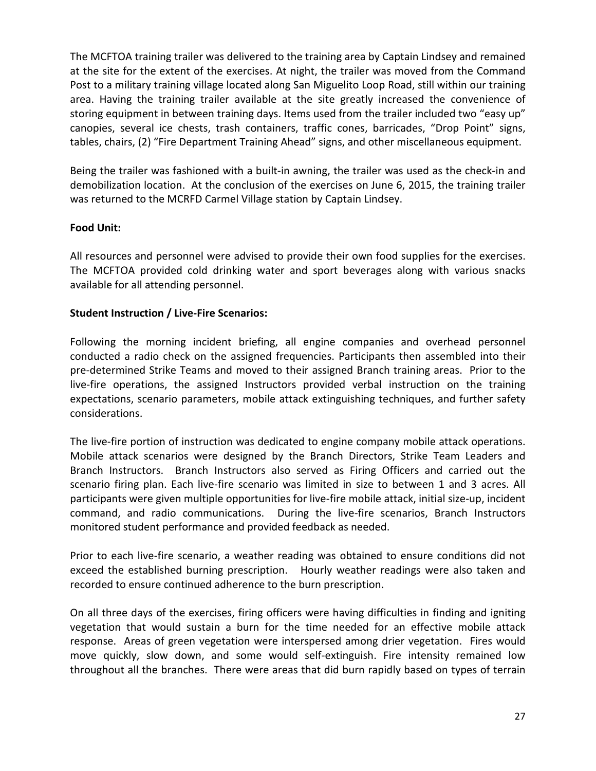The MCFTOA training trailer was delivered to the training area by Captain Lindsey and remained at the site for the extent of the exercises. At night, the trailer was moved from the Command Post to a military training village located along San Miguelito Loop Road, still within our training area. Having the training trailer available at the site greatly increased the convenience of storing equipment in between training days. Items used from the trailer included two "easy up" canopies, several ice chests, trash containers, traffic cones, barricades, "Drop Point" signs, tables, chairs, (2) "Fire Department Training Ahead" signs, and other miscellaneous equipment.

Being the trailer was fashioned with a built-in awning, the trailer was used as the check-in and demobilization location. At the conclusion of the exercises on June 6, 2015, the training trailer was returned to the MCRFD Carmel Village station by Captain Lindsey.

#### **Food Unit:**

All resources and personnel were advised to provide their own food supplies for the exercises. The MCFTOA provided cold drinking water and sport beverages along with various snacks available for all attending personnel.

#### **Student Instruction / Live-Fire Scenarios:**

Following the morning incident briefing, all engine companies and overhead personnel conducted a radio check on the assigned frequencies. Participants then assembled into their pre-determined Strike Teams and moved to their assigned Branch training areas. Prior to the live-fire operations, the assigned Instructors provided verbal instruction on the training expectations, scenario parameters, mobile attack extinguishing techniques, and further safety considerations.

The live-fire portion of instruction was dedicated to engine company mobile attack operations. Mobile attack scenarios were designed by the Branch Directors, Strike Team Leaders and Branch Instructors. Branch Instructors also served as Firing Officers and carried out the scenario firing plan. Each live-fire scenario was limited in size to between 1 and 3 acres. All participants were given multiple opportunities for live-fire mobile attack, initial size-up, incident command, and radio communications. During the live-fire scenarios, Branch Instructors monitored student performance and provided feedback as needed.

Prior to each live-fire scenario, a weather reading was obtained to ensure conditions did not exceed the established burning prescription. Hourly weather readings were also taken and recorded to ensure continued adherence to the burn prescription.

On all three days of the exercises, firing officers were having difficulties in finding and igniting vegetation that would sustain a burn for the time needed for an effective mobile attack response. Areas of green vegetation were interspersed among drier vegetation. Fires would move quickly, slow down, and some would self-extinguish. Fire intensity remained low throughout all the branches. There were areas that did burn rapidly based on types of terrain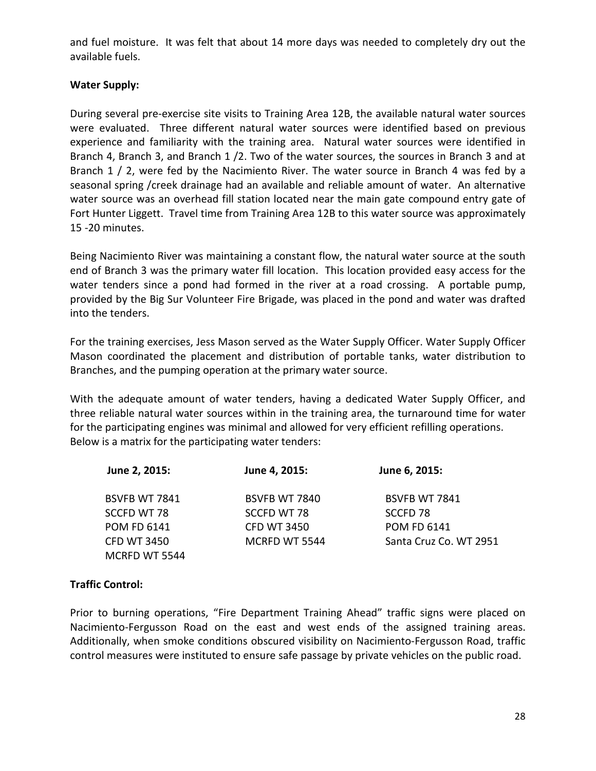and fuel moisture. It was felt that about 14 more days was needed to completely dry out the available fuels.

#### **Water Supply:**

During several pre-exercise site visits to Training Area 12B, the available natural water sources were evaluated. Three different natural water sources were identified based on previous experience and familiarity with the training area. Natural water sources were identified in Branch 4, Branch 3, and Branch 1 /2. Two of the water sources, the sources in Branch 3 and at Branch 1 / 2, were fed by the Nacimiento River. The water source in Branch 4 was fed by a seasonal spring /creek drainage had an available and reliable amount of water. An alternative water source was an overhead fill station located near the main gate compound entry gate of Fort Hunter Liggett. Travel time from Training Area 12B to this water source was approximately 15 -20 minutes.

Being Nacimiento River was maintaining a constant flow, the natural water source at the south end of Branch 3 was the primary water fill location. This location provided easy access for the water tenders since a pond had formed in the river at a road crossing. A portable pump, provided by the Big Sur Volunteer Fire Brigade, was placed in the pond and water was drafted into the tenders.

For the training exercises, Jess Mason served as the Water Supply Officer. Water Supply Officer Mason coordinated the placement and distribution of portable tanks, water distribution to Branches, and the pumping operation at the primary water source.

With the adequate amount of water tenders, having a dedicated Water Supply Officer, and three reliable natural water sources within in the training area, the turnaround time for water for the participating engines was minimal and allowed for very efficient refilling operations. Below is a matrix for the participating water tenders:

| June 2, 2015:        | June 4, 2015:      | June 6, 2015:          |
|----------------------|--------------------|------------------------|
| <b>BSVFB WT 7841</b> | BSVFB WT 7840      | BSVFB WT 7841          |
| SCCFD WT 78          | SCCFD WT 78        | SCCFD <sub>78</sub>    |
| <b>POM FD 6141</b>   | <b>CFD WT 3450</b> | <b>POM FD 6141</b>     |
| <b>CFD WT 3450</b>   | MCRFD WT 5544      | Santa Cruz Co. WT 2951 |
| MCRFD WT 5544        |                    |                        |

#### **Traffic Control:**

Prior to burning operations, "Fire Department Training Ahead" traffic signs were placed on Nacimiento-Fergusson Road on the east and west ends of the assigned training areas. Additionally, when smoke conditions obscured visibility on Nacimiento-Fergusson Road, traffic control measures were instituted to ensure safe passage by private vehicles on the public road.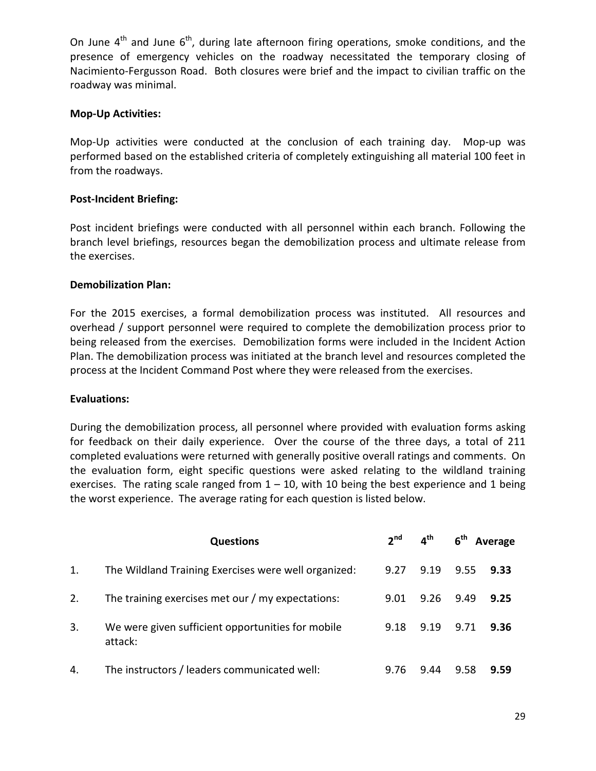On June  $4<sup>th</sup>$  and June  $6<sup>th</sup>$ , during late afternoon firing operations, smoke conditions, and the presence of emergency vehicles on the roadway necessitated the temporary closing of Nacimiento-Fergusson Road. Both closures were brief and the impact to civilian traffic on the roadway was minimal.

#### **Mop-Up Activities:**

Mop-Up activities were conducted at the conclusion of each training day. Mop-up was performed based on the established criteria of completely extinguishing all material 100 feet in from the roadways.

#### **Post-Incident Briefing:**

Post incident briefings were conducted with all personnel within each branch. Following the branch level briefings, resources began the demobilization process and ultimate release from the exercises.

#### **Demobilization Plan:**

For the 2015 exercises, a formal demobilization process was instituted. All resources and overhead / support personnel were required to complete the demobilization process prior to being released from the exercises. Demobilization forms were included in the Incident Action Plan. The demobilization process was initiated at the branch level and resources completed the process at the Incident Command Post where they were released from the exercises.

#### **Evaluations:**

During the demobilization process, all personnel where provided with evaluation forms asking for feedback on their daily experience. Over the course of the three days, a total of 211 completed evaluations were returned with generally positive overall ratings and comments. On the evaluation form, eight specific questions were asked relating to the wildland training exercises. The rating scale ranged from  $1 - 10$ , with 10 being the best experience and 1 being the worst experience. The average rating for each question is listed below.

|    | <b>Questions</b>                                             |      | $2^{nd}$ $4^{th}$ |      | 6 <sup>th</sup> Average |
|----|--------------------------------------------------------------|------|-------------------|------|-------------------------|
| 1. | The Wildland Training Exercises were well organized:         | 9.27 | 9.19              | 9.55 | 9.33                    |
| 2. | The training exercises met our / my expectations:            | 9.01 | 9.26              | 9.49 | 9.25                    |
| 3. | We were given sufficient opportunities for mobile<br>attack: | 9.18 | 9.19              | 9.71 | 9.36                    |
| 4. | The instructors / leaders communicated well:                 | 9.76 | 9.44              | 9.58 | 9.59                    |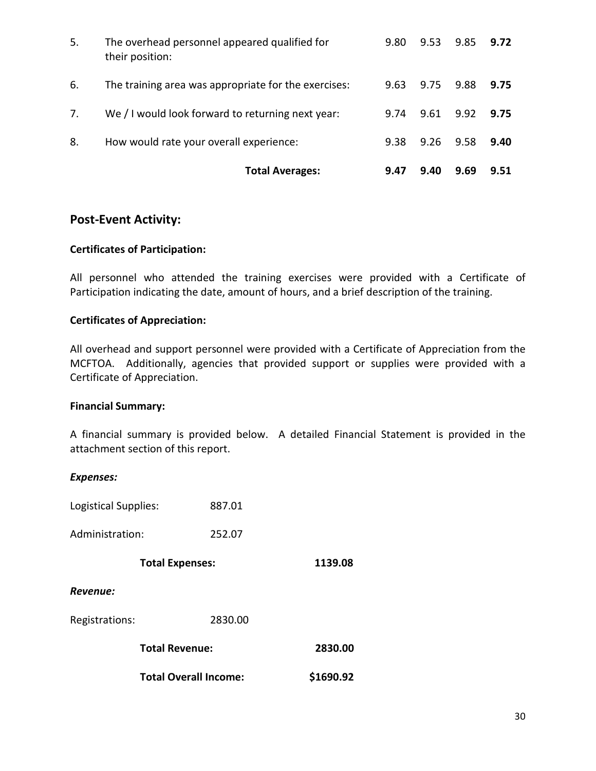|    | <b>Total Averages:</b>                                           | 9.47 | 9.40 | 9.69 | 9.51 |
|----|------------------------------------------------------------------|------|------|------|------|
| 8. | How would rate your overall experience:                          | 9.38 | 9.26 | 9.58 | 9.40 |
| 7. | We / I would look forward to returning next year:                | 9.74 | 9.61 | 9.92 | 9.75 |
| 6. | The training area was appropriate for the exercises:             | 9.63 | 9.75 | 9.88 | 9.75 |
| 5. | The overhead personnel appeared qualified for<br>their position: | 9.80 | 9.53 | 9.85 | 9.72 |

#### **Post-Event Activity:**

#### **Certificates of Participation:**

All personnel who attended the training exercises were provided with a Certificate of Participation indicating the date, amount of hours, and a brief description of the training.

#### **Certificates of Appreciation:**

All overhead and support personnel were provided with a Certificate of Appreciation from the MCFTOA. Additionally, agencies that provided support or supplies were provided with a Certificate of Appreciation.

#### **Financial Summary:**

A financial summary is provided below. A detailed Financial Statement is provided in the attachment section of this report.

| <b>Expenses:</b>     |                              |         |           |  |
|----------------------|------------------------------|---------|-----------|--|
| Logistical Supplies: |                              | 887.01  |           |  |
| Administration:      |                              | 252.07  |           |  |
|                      | <b>Total Expenses:</b>       |         | 1139.08   |  |
| Revenue:             |                              |         |           |  |
| Registrations:       |                              | 2830.00 |           |  |
|                      | <b>Total Revenue:</b>        |         | 2830.00   |  |
|                      | <b>Total Overall Income:</b> |         | \$1690.92 |  |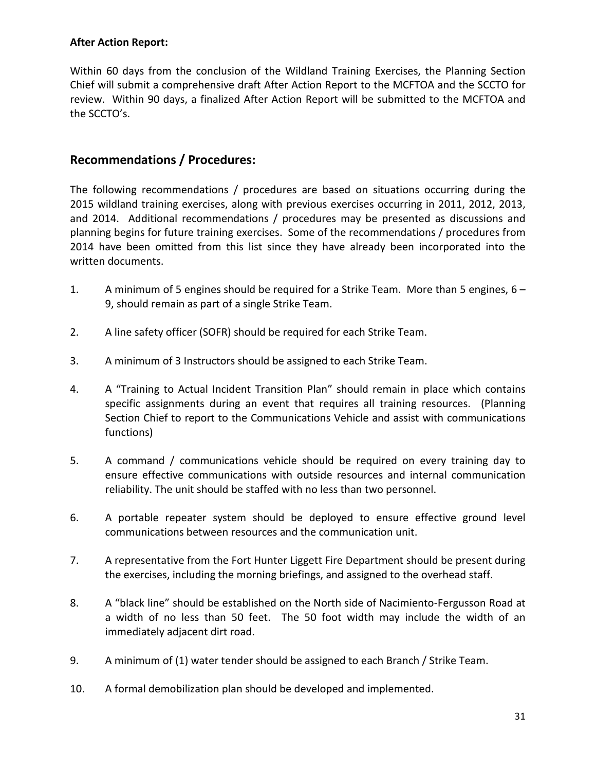#### **After Action Report:**

Within 60 days from the conclusion of the Wildland Training Exercises, the Planning Section Chief will submit a comprehensive draft After Action Report to the MCFTOA and the SCCTO for review. Within 90 days, a finalized After Action Report will be submitted to the MCFTOA and the SCCTO's.

#### **Recommendations / Procedures:**

The following recommendations / procedures are based on situations occurring during the 2015 wildland training exercises, along with previous exercises occurring in 2011, 2012, 2013, and 2014. Additional recommendations / procedures may be presented as discussions and planning begins for future training exercises. Some of the recommendations / procedures from 2014 have been omitted from this list since they have already been incorporated into the written documents.

- 1. A minimum of 5 engines should be required for a Strike Team. More than 5 engines, 6 9, should remain as part of a single Strike Team.
- 2. A line safety officer (SOFR) should be required for each Strike Team.
- 3. A minimum of 3 Instructors should be assigned to each Strike Team.
- 4. A "Training to Actual Incident Transition Plan" should remain in place which contains specific assignments during an event that requires all training resources. (Planning Section Chief to report to the Communications Vehicle and assist with communications functions)
- 5. A command / communications vehicle should be required on every training day to ensure effective communications with outside resources and internal communication reliability. The unit should be staffed with no less than two personnel.
- 6. A portable repeater system should be deployed to ensure effective ground level communications between resources and the communication unit.
- 7. A representative from the Fort Hunter Liggett Fire Department should be present during the exercises, including the morning briefings, and assigned to the overhead staff.
- 8. A "black line" should be established on the North side of Nacimiento-Fergusson Road at a width of no less than 50 feet. The 50 foot width may include the width of an immediately adjacent dirt road.
- 9. A minimum of (1) water tender should be assigned to each Branch / Strike Team.
- 10. A formal demobilization plan should be developed and implemented.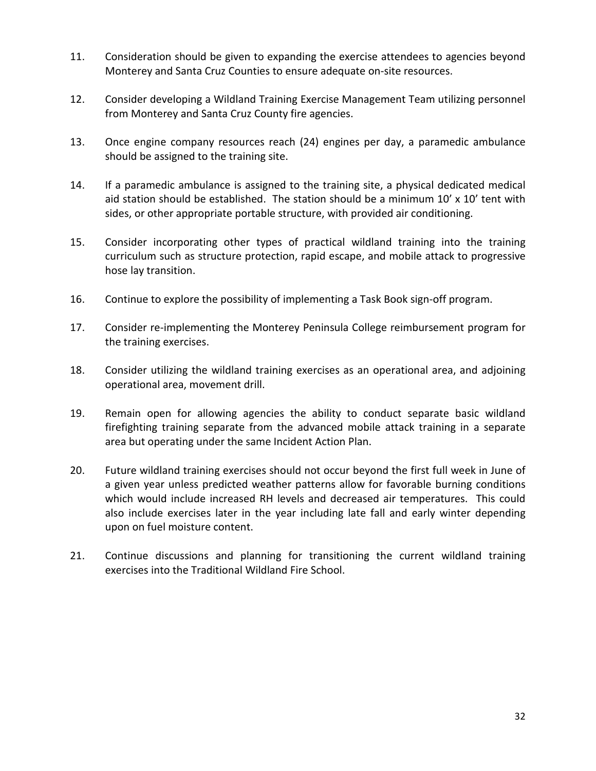- 11. Consideration should be given to expanding the exercise attendees to agencies beyond Monterey and Santa Cruz Counties to ensure adequate on-site resources.
- 12. Consider developing a Wildland Training Exercise Management Team utilizing personnel from Monterey and Santa Cruz County fire agencies.
- 13. Once engine company resources reach (24) engines per day, a paramedic ambulance should be assigned to the training site.
- 14. If a paramedic ambulance is assigned to the training site, a physical dedicated medical aid station should be established. The station should be a minimum  $10'$  x  $10'$  tent with sides, or other appropriate portable structure, with provided air conditioning.
- 15. Consider incorporating other types of practical wildland training into the training curriculum such as structure protection, rapid escape, and mobile attack to progressive hose lay transition.
- 16. Continue to explore the possibility of implementing a Task Book sign-off program.
- 17. Consider re-implementing the Monterey Peninsula College reimbursement program for the training exercises.
- 18. Consider utilizing the wildland training exercises as an operational area, and adjoining operational area, movement drill.
- 19. Remain open for allowing agencies the ability to conduct separate basic wildland firefighting training separate from the advanced mobile attack training in a separate area but operating under the same Incident Action Plan.
- 20. Future wildland training exercises should not occur beyond the first full week in June of a given year unless predicted weather patterns allow for favorable burning conditions which would include increased RH levels and decreased air temperatures. This could also include exercises later in the year including late fall and early winter depending upon on fuel moisture content.
- 21. Continue discussions and planning for transitioning the current wildland training exercises into the Traditional Wildland Fire School.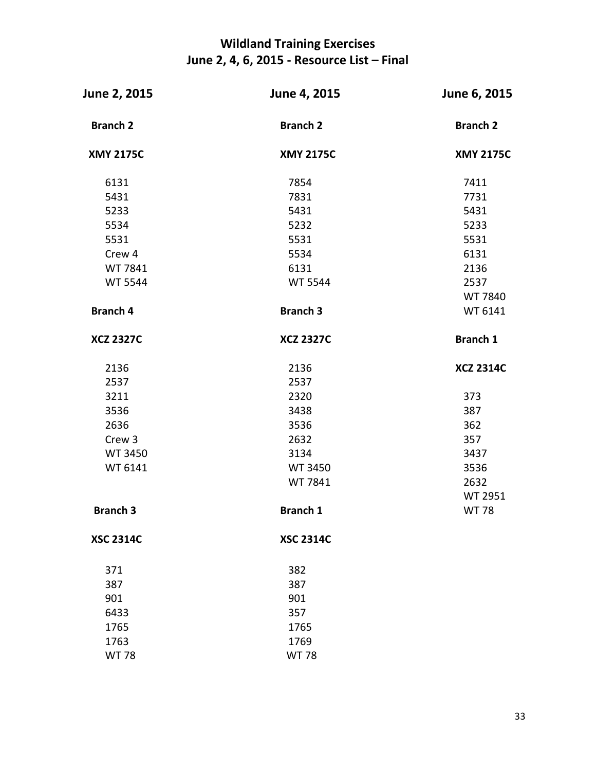## **Wildland Training Exercises June 2, 4, 6, 2015 - Resource List – Final**

| June 2, 2015     | June 4, 2015     | June 6, 2015     |  |  |
|------------------|------------------|------------------|--|--|
| <b>Branch 2</b>  | <b>Branch 2</b>  | <b>Branch 2</b>  |  |  |
| <b>XMY 2175C</b> | <b>XMY 2175C</b> | <b>XMY 2175C</b> |  |  |
| 6131             | 7854             | 7411             |  |  |
| 5431             | 7831             | 7731             |  |  |
| 5233             | 5431             | 5431             |  |  |
| 5534             | 5232             | 5233             |  |  |
| 5531             | 5531             | 5531             |  |  |
| Crew 4           | 5534             | 6131             |  |  |
| WT 7841          | 6131             | 2136             |  |  |
| <b>WT 5544</b>   | <b>WT 5544</b>   | 2537             |  |  |
|                  |                  | WT 7840          |  |  |
| <b>Branch 4</b>  | <b>Branch 3</b>  | WT 6141          |  |  |
| <b>XCZ 2327C</b> | <b>XCZ 2327C</b> | <b>Branch 1</b>  |  |  |
| 2136             | 2136             | <b>XCZ 2314C</b> |  |  |
| 2537             | 2537             |                  |  |  |
| 3211             | 2320             | 373              |  |  |
| 3536             | 3438             | 387              |  |  |
| 2636             | 3536             | 362              |  |  |
| Crew 3           | 2632             | 357              |  |  |
| <b>WT 3450</b>   | 3134             | 3437             |  |  |
| WT 6141          | WT 3450          | 3536             |  |  |
|                  | WT 7841          | 2632             |  |  |
|                  |                  | WT 2951          |  |  |
| <b>Branch 3</b>  | <b>Branch 1</b>  | <b>WT 78</b>     |  |  |
| <b>XSC 2314C</b> | <b>XSC 2314C</b> |                  |  |  |
| 371              | 382              |                  |  |  |
| 387              | 387              |                  |  |  |
| 901              | 901              |                  |  |  |
| 6433             | 357              |                  |  |  |
| 1765             | 1765             |                  |  |  |
| 1763             | 1769             |                  |  |  |
| <b>WT78</b>      | <b>WT78</b>      |                  |  |  |
|                  |                  |                  |  |  |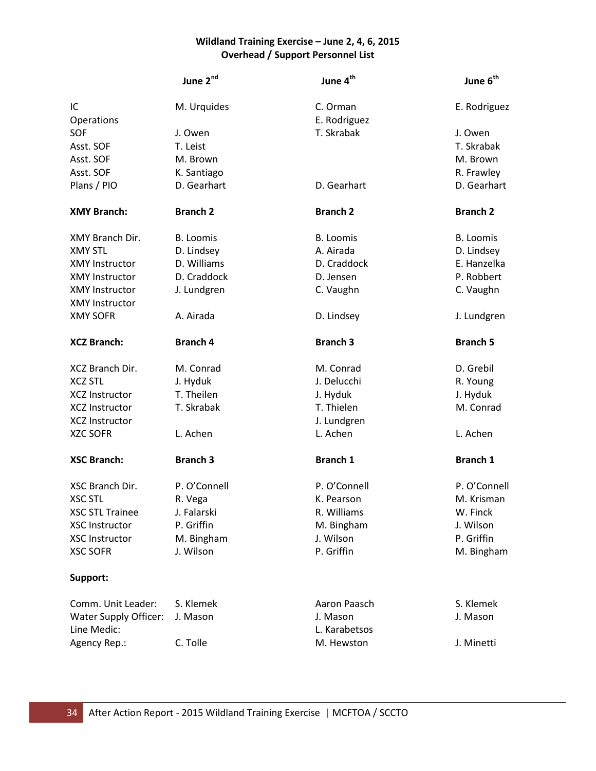#### **Wildland Training Exercise – June 2, 4, 6, 2015 Overhead / Support Personnel List**

|                        | June 2nd         | June 4 <sup>th</sup> | June 6 <sup>th</sup> |
|------------------------|------------------|----------------------|----------------------|
| IC                     | M. Urquides      | C. Orman             | E. Rodriguez         |
| Operations             |                  | E. Rodriguez         |                      |
| SOF                    | J. Owen          | T. Skrabak           | J. Owen              |
| Asst. SOF              | T. Leist         |                      | T. Skrabak           |
| Asst. SOF              | M. Brown         |                      | M. Brown             |
| Asst. SOF              | K. Santiago      |                      | R. Frawley           |
| Plans / PIO            | D. Gearhart      | D. Gearhart          | D. Gearhart          |
| <b>XMY Branch:</b>     | <b>Branch 2</b>  | <b>Branch 2</b>      | <b>Branch 2</b>      |
| XMY Branch Dir.        | <b>B.</b> Loomis | <b>B.</b> Loomis     | <b>B.</b> Loomis     |
| <b>XMY STL</b>         | D. Lindsey       | A. Airada            | D. Lindsey           |
| <b>XMY Instructor</b>  | D. Williams      | D. Craddock          | E. Hanzelka          |
| <b>XMY Instructor</b>  | D. Craddock      | D. Jensen            | P. Robbert           |
| <b>XMY Instructor</b>  | J. Lundgren      | C. Vaughn            | C. Vaughn            |
| <b>XMY Instructor</b>  |                  |                      |                      |
| <b>XMY SOFR</b>        | A. Airada        | D. Lindsey           | J. Lundgren          |
| <b>XCZ Branch:</b>     | <b>Branch 4</b>  | <b>Branch 3</b>      | <b>Branch 5</b>      |
| XCZ Branch Dir.        | M. Conrad        | M. Conrad            | D. Grebil            |
| <b>XCZ STL</b>         | J. Hyduk         | J. Delucchi          | R. Young             |
| <b>XCZ Instructor</b>  | T. Theilen       | J. Hyduk             | J. Hyduk             |
| <b>XCZ Instructor</b>  | T. Skrabak       | T. Thielen           | M. Conrad            |
| <b>XCZ Instructor</b>  |                  | J. Lundgren          |                      |
| <b>XZC SOFR</b>        | L. Achen         | L. Achen             | L. Achen             |
| <b>XSC Branch:</b>     | <b>Branch 3</b>  | <b>Branch 1</b>      | <b>Branch 1</b>      |
| XSC Branch Dir.        | P. O'Connell     | P. O'Connell         | P. O'Connell         |
| <b>XSC STL</b>         | R. Vega          | K. Pearson           | M. Krisman           |
| <b>XSC STL Trainee</b> | J. Falarski      | R. Williams          | W. Finck             |
| <b>XSC Instructor</b>  | P. Griffin       | M. Bingham           | J. Wilson            |
| <b>XSC Instructor</b>  | M. Bingham       | J. Wilson            | P. Griffin           |
| <b>XSC SOFR</b>        | J. Wilson        | P. Griffin           | M. Bingham           |
| Support:               |                  |                      |                      |
| Comm. Unit Leader:     | S. Klemek        | Aaron Paasch         | S. Klemek            |
|                        |                  | J. Mason             | J. Mason             |
| Water Supply Officer:  | J. Mason         |                      |                      |
| Line Medic:            |                  | L. Karabetsos        |                      |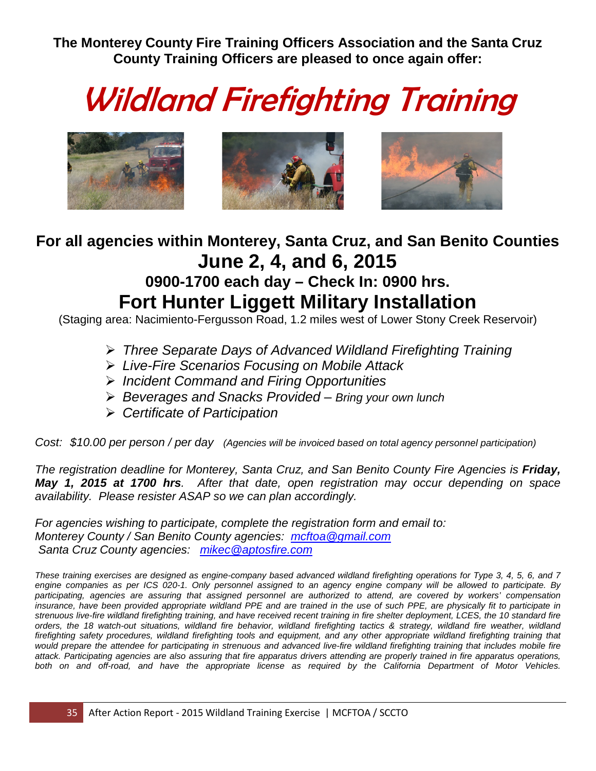**The Monterey County Fire Training Officers Association and the Santa Cruz County Training Officers are pleased to once again offer:**

# Wildland Firefighting Training



## **For all agencies within Monterey, Santa Cruz, and San Benito Counties June 2, 4, and 6, 2015 0900-1700 each day – Check In: 0900 hrs.**

# **Fort Hunter Liggett Military Installation**

(Staging area: Nacimiento-Fergusson Road, 1.2 miles west of Lower Stony Creek Reservoir)

- *Three Separate Days of Advanced Wildland Firefighting Training*
- *Live-Fire Scenarios Focusing on Mobile Attack*
- *Incident Command and Firing Opportunities*
- *Beverages and Snacks Provided – Bring your own lunch*
- *Certificate of Participation*

*Cost: \$10.00 per person / per day (Agencies will be invoiced based on total agency personnel participation)*

*The registration deadline for Monterey, Santa Cruz, and San Benito County Fire Agencies is Friday, May 1, 2015 at 1700 hrs. After that date, open registration may occur depending on space availability. Please resister ASAP so we can plan accordingly.* 

*For agencies wishing to participate, complete the registration form and email to: Monterey County / San Benito County agencies: [mcftoa@gmail.com](mailto:mcftoa@gmail.com) Santa Cruz County agencies: [mikec@aptosfire.com](mailto:mikec@aptosfire.com)*

*These training exercises are designed as engine-company based advanced wildland firefighting operations for Type 3, 4, 5, 6, and 7 engine companies as per ICS 020-1. Only personnel assigned to an agency engine company will be allowed to participate. By participating, agencies are assuring that assigned personnel are authorized to attend, are covered by workers' compensation insurance, have been provided appropriate wildland PPE and are trained in the use of such PPE, are physically fit to participate in strenuous live-fire wildland firefighting training, and have received recent training in fire shelter deployment, LCES, the 10 standard fire orders, the 18 watch-out situations, wildland fire behavior, wildland firefighting tactics & strategy, wildland fire weather, wildland firefighting safety procedures, wildland firefighting tools and equipment, and any other appropriate wildland firefighting training that*  would prepare the attendee for participating in strenuous and advanced live-fire wildland firefighting training that includes mobile fire *attack. Participating agencies are also assuring that fire apparatus drivers attending are properly trained in fire apparatus operations,*  both on and off-road, and have the appropriate license as required by the California Department of Motor Vehicles.